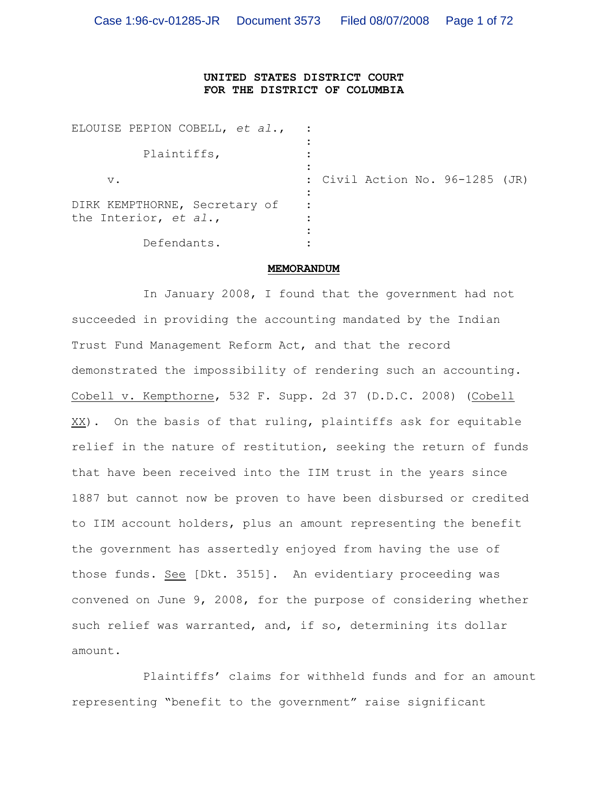## **UNITED STATES DISTRICT COURT FOR THE DISTRICT OF COLUMBIA**

| ELOUISE PEPION COBELL, et al.,                         |                                 |
|--------------------------------------------------------|---------------------------------|
| Plaintiffs,                                            |                                 |
| $V$ .                                                  | : Civil Action No. 96-1285 (JR) |
| DIRK KEMPTHORNE, Secretary of<br>the Interior, et al., |                                 |
| Defendants.                                            |                                 |

## **MEMORANDUM**

In January 2008, I found that the government had not succeeded in providing the accounting mandated by the Indian Trust Fund Management Reform Act, and that the record demonstrated the impossibility of rendering such an accounting. Cobell v. Kempthorne, 532 F. Supp. 2d 37 (D.D.C. 2008) (Cobell XX). On the basis of that ruling, plaintiffs ask for equitable relief in the nature of restitution, seeking the return of funds that have been received into the IIM trust in the years since 1887 but cannot now be proven to have been disbursed or credited to IIM account holders, plus an amount representing the benefit the government has assertedly enjoyed from having the use of those funds. See [Dkt. 3515]. An evidentiary proceeding was convened on June 9, 2008, for the purpose of considering whether such relief was warranted, and, if so, determining its dollar amount.

Plaintiffs' claims for withheld funds and for an amount representing "benefit to the government" raise significant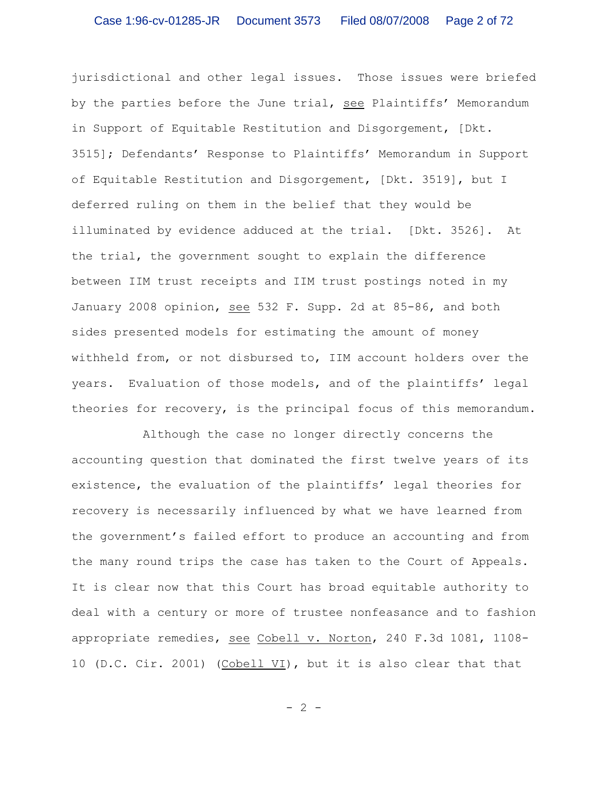jurisdictional and other legal issues. Those issues were briefed by the parties before the June trial, see Plaintiffs' Memorandum in Support of Equitable Restitution and Disgorgement, [Dkt. 3515]; Defendants' Response to Plaintiffs' Memorandum in Support of Equitable Restitution and Disgorgement, [Dkt. 3519], but I deferred ruling on them in the belief that they would be illuminated by evidence adduced at the trial. [Dkt. 3526]. At the trial, the government sought to explain the difference between IIM trust receipts and IIM trust postings noted in my January 2008 opinion, see 532 F. Supp. 2d at 85-86, and both sides presented models for estimating the amount of money withheld from, or not disbursed to, IIM account holders over the years. Evaluation of those models, and of the plaintiffs' legal theories for recovery, is the principal focus of this memorandum.

Although the case no longer directly concerns the accounting question that dominated the first twelve years of its existence, the evaluation of the plaintiffs' legal theories for recovery is necessarily influenced by what we have learned from the government's failed effort to produce an accounting and from the many round trips the case has taken to the Court of Appeals. It is clear now that this Court has broad equitable authority to deal with a century or more of trustee nonfeasance and to fashion appropriate remedies, see Cobell v. Norton, 240 F.3d 1081, 1108- 10 (D.C. Cir. 2001) (Cobell VI), but it is also clear that that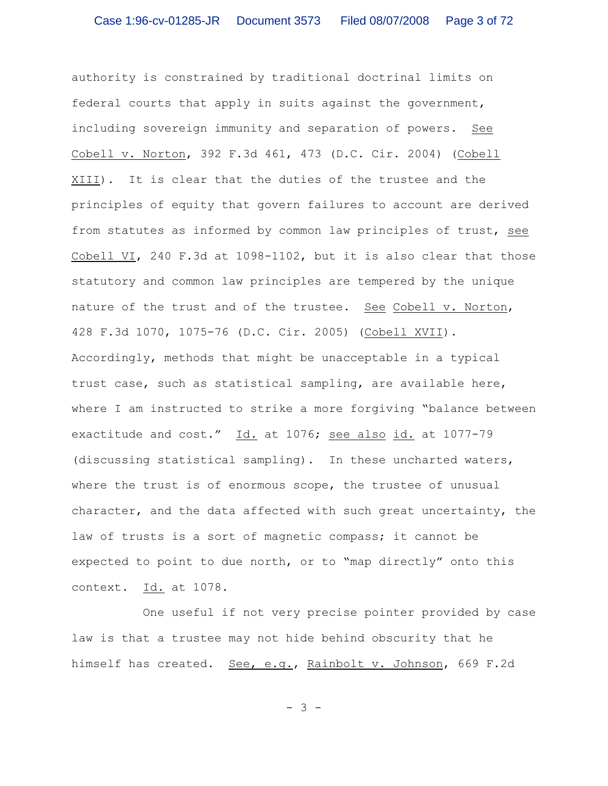authority is constrained by traditional doctrinal limits on federal courts that apply in suits against the government, including sovereign immunity and separation of powers. See Cobell v. Norton, 392 F.3d 461, 473 (D.C. Cir. 2004) (Cobell XIII). It is clear that the duties of the trustee and the principles of equity that govern failures to account are derived from statutes as informed by common law principles of trust, see Cobell VI, 240 F.3d at 1098-1102, but it is also clear that those statutory and common law principles are tempered by the unique nature of the trust and of the trustee. See Cobell v. Norton, 428 F.3d 1070, 1075-76 (D.C. Cir. 2005) (Cobell XVII). Accordingly, methods that might be unacceptable in a typical trust case, such as statistical sampling, are available here, where I am instructed to strike a more forgiving "balance between exactitude and cost." Id. at 1076; see also id. at 1077-79 (discussing statistical sampling). In these uncharted waters, where the trust is of enormous scope, the trustee of unusual character, and the data affected with such great uncertainty, the law of trusts is a sort of magnetic compass; it cannot be expected to point to due north, or to "map directly" onto this context. Id. at 1078.

One useful if not very precise pointer provided by case law is that a trustee may not hide behind obscurity that he himself has created. See, e.g., Rainbolt v. Johnson, 669 F.2d

- 3 -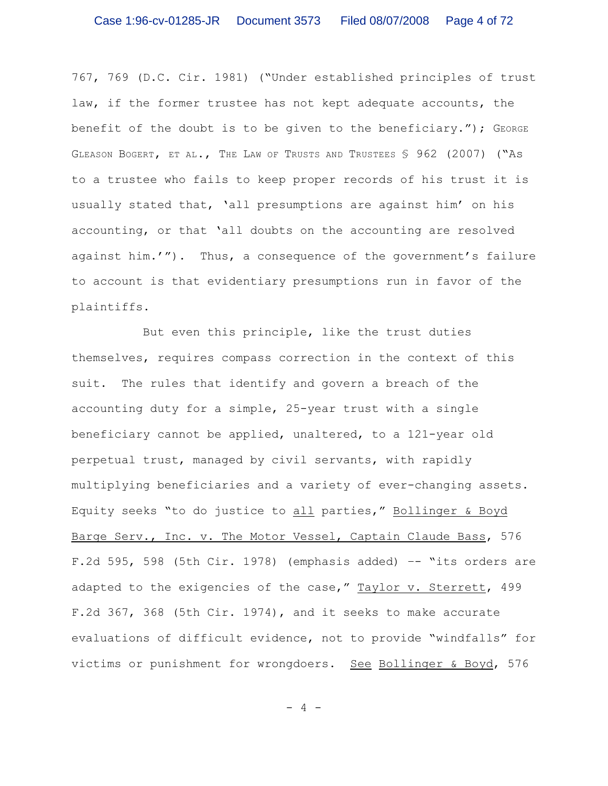767, 769 (D.C. Cir. 1981) ("Under established principles of trust law, if the former trustee has not kept adequate accounts, the benefit of the doubt is to be given to the beneficiary."); GEORGE GLEASON BOGERT, ET AL., THE LAW OF TRUSTS AND TRUSTEES § 962 (2007) ("As to a trustee who fails to keep proper records of his trust it is usually stated that, 'all presumptions are against him' on his accounting, or that 'all doubts on the accounting are resolved against him.'"). Thus, a consequence of the government's failure to account is that evidentiary presumptions run in favor of the plaintiffs.

But even this principle, like the trust duties themselves, requires compass correction in the context of this suit. The rules that identify and govern a breach of the accounting duty for a simple, 25-year trust with a single beneficiary cannot be applied, unaltered, to a 121-year old perpetual trust, managed by civil servants, with rapidly multiplying beneficiaries and a variety of ever-changing assets. Equity seeks "to do justice to all parties," Bollinger & Boyd Barge Serv., Inc. v. The Motor Vessel, Captain Claude Bass, 576 F.2d 595, 598 (5th Cir. 1978) (emphasis added)  $-$  "its orders are adapted to the exigencies of the case," Taylor v. Sterrett, 499 F.2d 367, 368 (5th Cir. 1974), and it seeks to make accurate evaluations of difficult evidence, not to provide "windfalls" for victims or punishment for wrongdoers. See Bollinger & Boyd, 576

- 4 -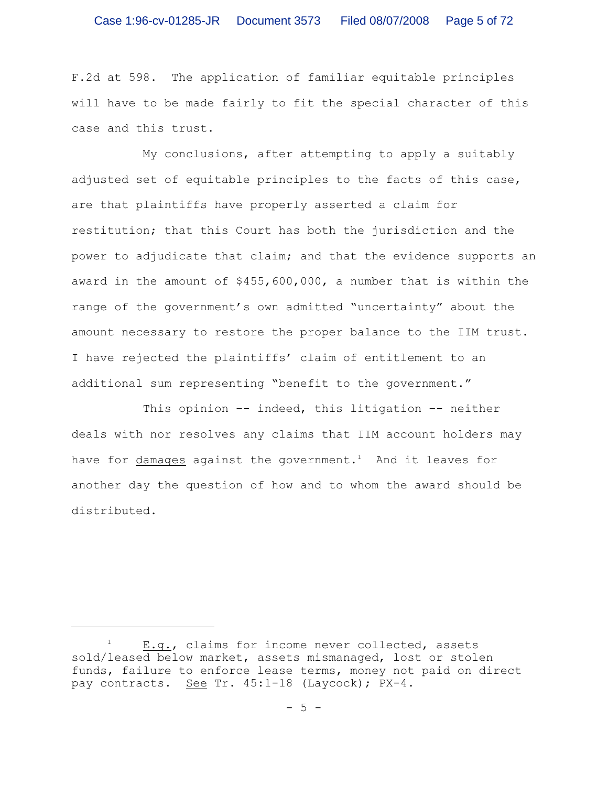F.2d at 598. The application of familiar equitable principles will have to be made fairly to fit the special character of this case and this trust.

My conclusions, after attempting to apply a suitably adjusted set of equitable principles to the facts of this case, are that plaintiffs have properly asserted a claim for restitution; that this Court has both the jurisdiction and the power to adjudicate that claim; and that the evidence supports an award in the amount of \$455,600,000, a number that is within the range of the government's own admitted "uncertainty" about the amount necessary to restore the proper balance to the IIM trust. I have rejected the plaintiffs' claim of entitlement to an additional sum representing "benefit to the government."

This opinion  $-$  indeed, this litigation  $-$  neither deals with nor resolves any claims that IIM account holders may have for damages against the government.<sup>1</sup> And it leaves for another day the question of how and to whom the award should be distributed.

 $E.9.$ , claims for income never collected, assets sold/leased below market, assets mismanaged, lost or stolen funds, failure to enforce lease terms, money not paid on direct pay contracts. See Tr. 45:1-18 (Laycock); PX-4.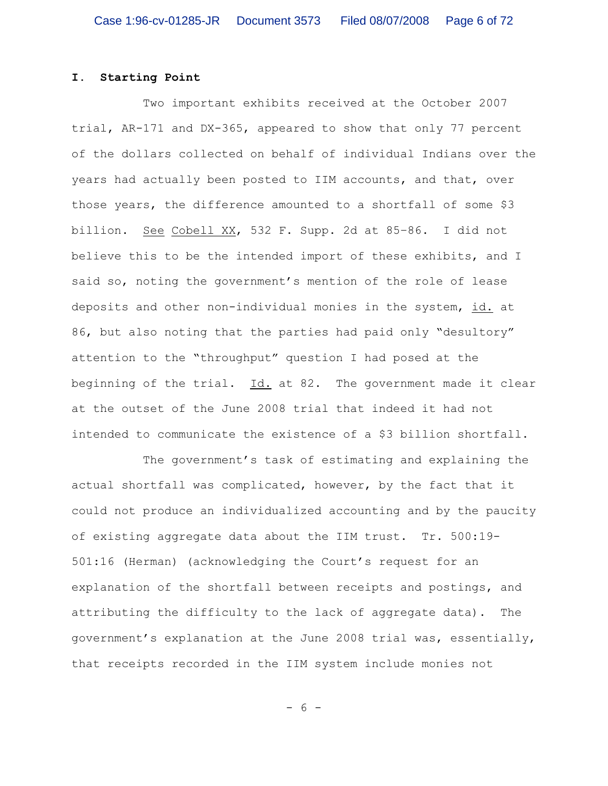## **I. Starting Point**

Two important exhibits received at the October 2007 trial, AR-171 and DX-365, appeared to show that only 77 percent of the dollars collected on behalf of individual Indians over the years had actually been posted to IIM accounts, and that, over those years, the difference amounted to a shortfall of some \$3 billion. See Cobell XX, 532 F. Supp. 2d at 85–86. I did not believe this to be the intended import of these exhibits, and I said so, noting the government's mention of the role of lease deposits and other non-individual monies in the system, id. at 86, but also noting that the parties had paid only "desultory" attention to the "throughput" question I had posed at the beginning of the trial. Id. at 82. The government made it clear at the outset of the June 2008 trial that indeed it had not intended to communicate the existence of a \$3 billion shortfall.

The government's task of estimating and explaining the actual shortfall was complicated, however, by the fact that it could not produce an individualized accounting and by the paucity of existing aggregate data about the IIM trust. Tr. 500:19- 501:16 (Herman) (acknowledging the Court's request for an explanation of the shortfall between receipts and postings, and attributing the difficulty to the lack of aggregate data). The government's explanation at the June 2008 trial was, essentially, that receipts recorded in the IIM system include monies not

- 6 -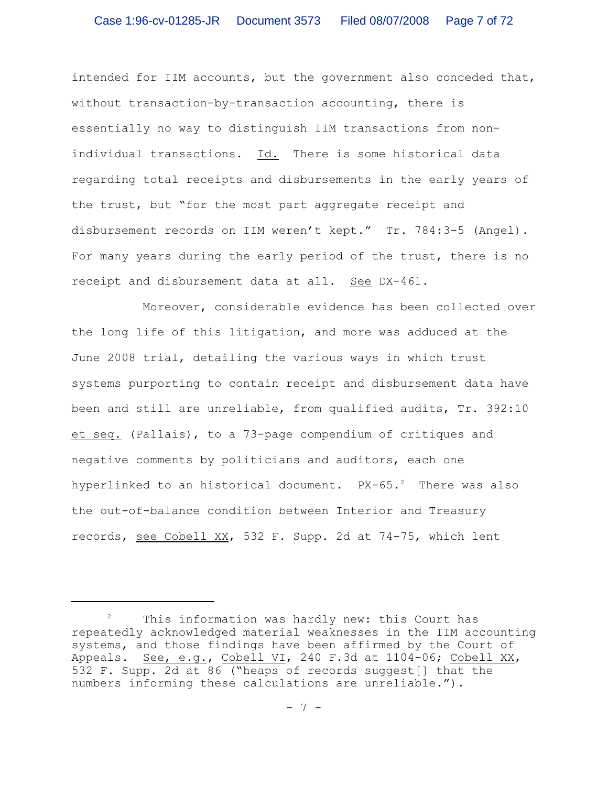intended for IIM accounts, but the government also conceded that, without transaction-by-transaction accounting, there is essentially no way to distinguish IIM transactions from nonindividual transactions. Id. There is some historical data regarding total receipts and disbursements in the early years of the trust, but "for the most part aggregate receipt and disbursement records on IIM weren't kept." Tr. 784:3-5 (Angel). For many years during the early period of the trust, there is no receipt and disbursement data at all. See DX-461.

Moreover, considerable evidence has been collected over the long life of this litigation, and more was adduced at the June 2008 trial, detailing the various ways in which trust systems purporting to contain receipt and disbursement data have been and still are unreliable, from qualified audits, Tr. 392:10 et seq. (Pallais), to a 73-page compendium of critiques and negative comments by politicians and auditors, each one hyperlinked to an historical document.  $PX-65.^2$  There was also the out-of-balance condition between Interior and Treasury records, see Cobell XX, 532 F. Supp. 2d at 74-75, which lent

 $2$  This information was hardly new: this Court has repeatedly acknowledged material weaknesses in the IIM accounting systems, and those findings have been affirmed by the Court of Appeals. See, e.g., Cobell VI, 240 F.3d at 1104-06; Cobell XX, 532 F. Supp. 2d at 86 ("heaps of records suggest[] that the numbers informing these calculations are unreliable.").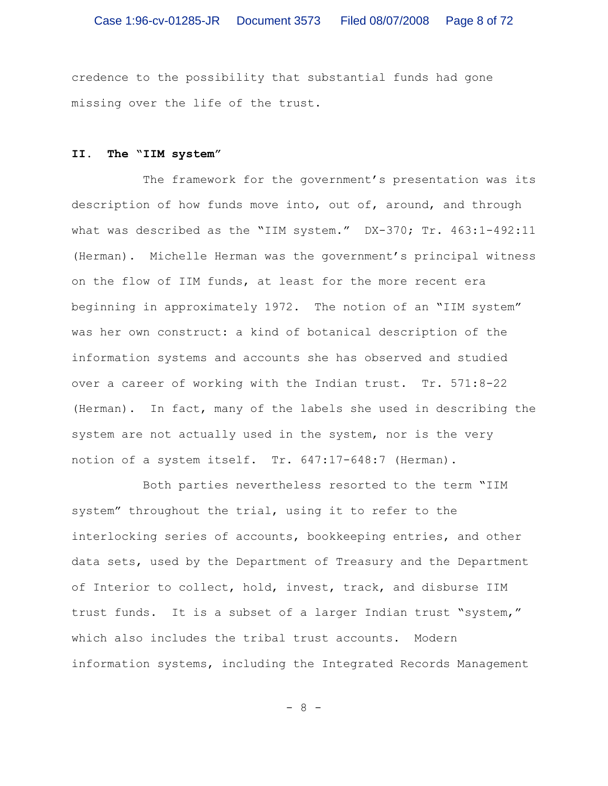credence to the possibility that substantial funds had gone missing over the life of the trust.

### **II. The "IIM system"**

The framework for the government's presentation was its description of how funds move into, out of, around, and through what was described as the "IIM system." DX-370; Tr. 463:1-492:11 (Herman). Michelle Herman was the government's principal witness on the flow of IIM funds, at least for the more recent era beginning in approximately 1972. The notion of an "IIM system" was her own construct: a kind of botanical description of the information systems and accounts she has observed and studied over a career of working with the Indian trust. Tr. 571:8-22 (Herman). In fact, many of the labels she used in describing the system are not actually used in the system, nor is the very notion of a system itself. Tr. 647:17-648:7 (Herman).

Both parties nevertheless resorted to the term "IIM system" throughout the trial, using it to refer to the interlocking series of accounts, bookkeeping entries, and other data sets, used by the Department of Treasury and the Department of Interior to collect, hold, invest, track, and disburse IIM trust funds. It is a subset of a larger Indian trust "system," which also includes the tribal trust accounts. Modern information systems, including the Integrated Records Management

- 8 -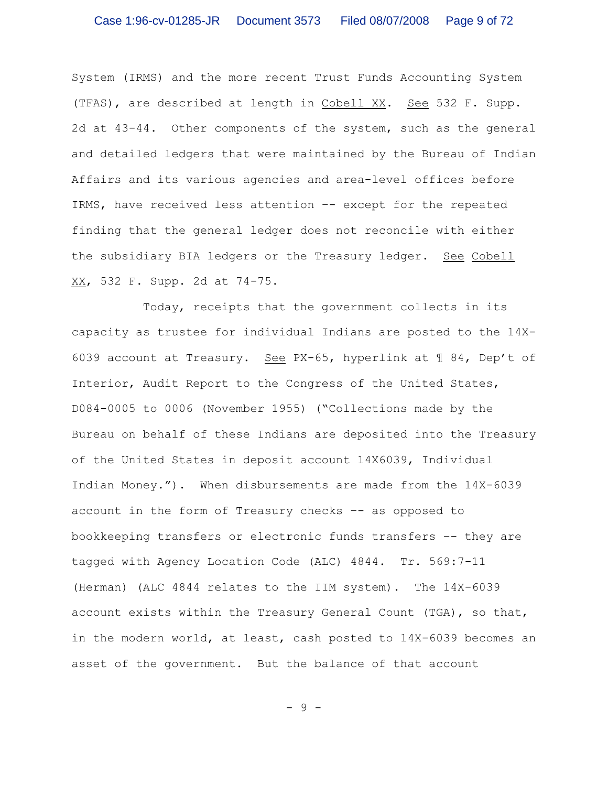System (IRMS) and the more recent Trust Funds Accounting System (TFAS), are described at length in Cobell XX. See 532 F. Supp. 2d at 43-44. Other components of the system, such as the general and detailed ledgers that were maintained by the Bureau of Indian Affairs and its various agencies and area-level offices before IRMS, have received less attention –- except for the repeated finding that the general ledger does not reconcile with either the subsidiary BIA ledgers or the Treasury ledger. See Cobell XX, 532 F. Supp. 2d at 74-75.

Today, receipts that the government collects in its capacity as trustee for individual Indians are posted to the 14X-6039 account at Treasury. See PX-65, hyperlink at ¶ 84, Dep't of Interior, Audit Report to the Congress of the United States, D084-0005 to 0006 (November 1955) ("Collections made by the Bureau on behalf of these Indians are deposited into the Treasury of the United States in deposit account 14X6039, Individual Indian Money."). When disbursements are made from the 14X-6039 account in the form of Treasury checks –- as opposed to bookkeeping transfers or electronic funds transfers –- they are tagged with Agency Location Code (ALC) 4844. Tr. 569:7-11 (Herman) (ALC 4844 relates to the IIM system). The 14X-6039 account exists within the Treasury General Count (TGA), so that, in the modern world, at least, cash posted to 14X-6039 becomes an asset of the government. But the balance of that account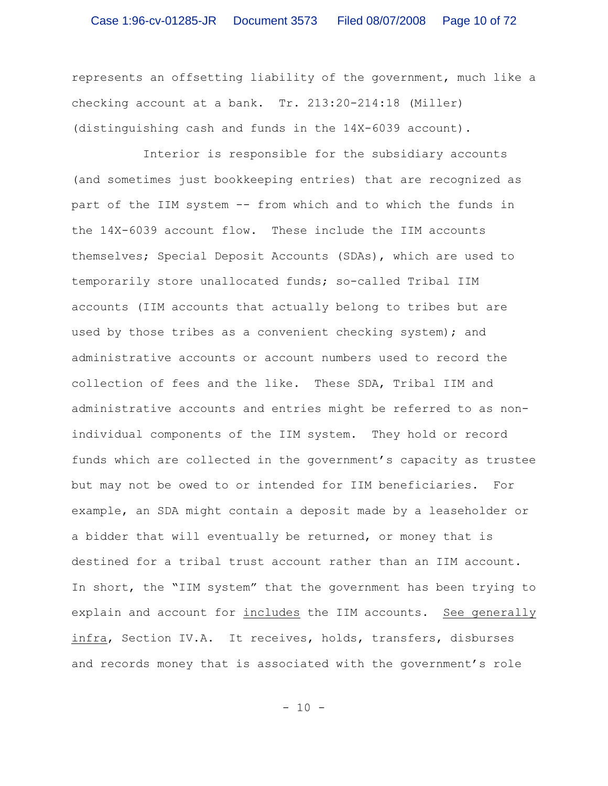represents an offsetting liability of the government, much like a checking account at a bank. Tr. 213:20-214:18 (Miller) (distinguishing cash and funds in the 14X-6039 account).

Interior is responsible for the subsidiary accounts (and sometimes just bookkeeping entries) that are recognized as part of the IIM system -- from which and to which the funds in the 14X-6039 account flow. These include the IIM accounts themselves; Special Deposit Accounts (SDAs), which are used to temporarily store unallocated funds; so-called Tribal IIM accounts (IIM accounts that actually belong to tribes but are used by those tribes as a convenient checking system); and administrative accounts or account numbers used to record the collection of fees and the like. These SDA, Tribal IIM and administrative accounts and entries might be referred to as nonindividual components of the IIM system. They hold or record funds which are collected in the government's capacity as trustee but may not be owed to or intended for IIM beneficiaries. For example, an SDA might contain a deposit made by a leaseholder or a bidder that will eventually be returned, or money that is destined for a tribal trust account rather than an IIM account. In short, the "IIM system" that the government has been trying to explain and account for includes the IIM accounts. See generally infra, Section IV.A. It receives, holds, transfers, disburses and records money that is associated with the government's role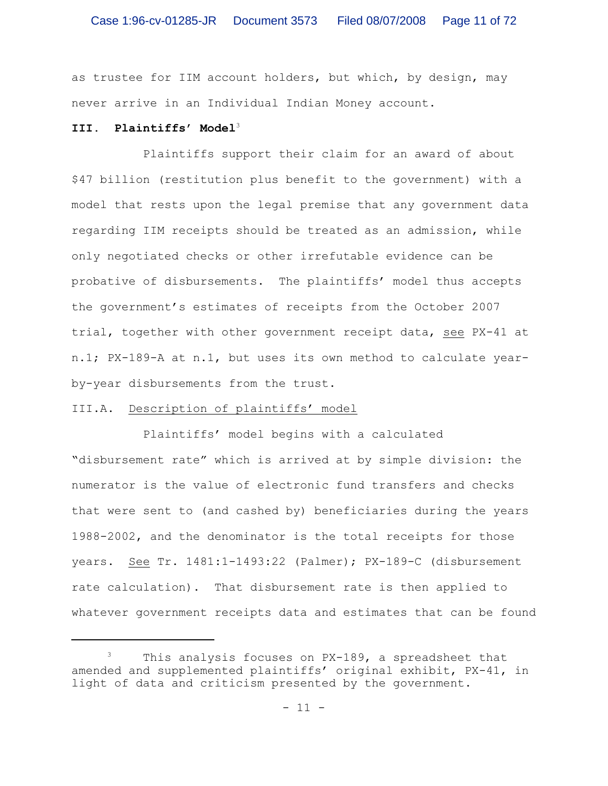as trustee for IIM account holders, but which, by design, may never arrive in an Individual Indian Money account.

### **III. Plaintiffs' Model**<sup>3</sup>

Plaintiffs support their claim for an award of about \$47 billion (restitution plus benefit to the government) with a model that rests upon the legal premise that any government data regarding IIM receipts should be treated as an admission, while only negotiated checks or other irrefutable evidence can be probative of disbursements. The plaintiffs' model thus accepts the government's estimates of receipts from the October 2007 trial, together with other government receipt data, see PX-41 at n.1; PX-189-A at n.1, but uses its own method to calculate yearby-year disbursements from the trust.

# III.A. Description of plaintiffs' model

Plaintiffs' model begins with a calculated "disbursement rate" which is arrived at by simple division: the numerator is the value of electronic fund transfers and checks that were sent to (and cashed by) beneficiaries during the years 1988-2002, and the denominator is the total receipts for those years. See Tr. 1481:1-1493:22 (Palmer); PX-189-C (disbursement rate calculation). That disbursement rate is then applied to whatever government receipts data and estimates that can be found

This analysis focuses on PX-189, a spreadsheet that amended and supplemented plaintiffs' original exhibit, PX-41, in light of data and criticism presented by the government.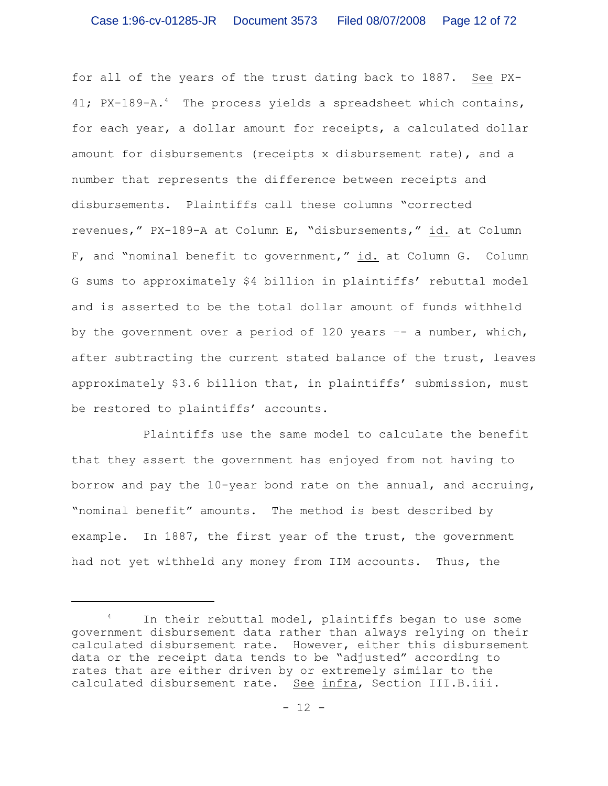for all of the years of the trust dating back to 1887. See PX-41; PX-189-A.<sup>4</sup> The process yields a spreadsheet which contains, for each year, a dollar amount for receipts, a calculated dollar amount for disbursements (receipts x disbursement rate), and a number that represents the difference between receipts and disbursements. Plaintiffs call these columns "corrected revenues," PX-189-A at Column E, "disbursements," id. at Column F, and "nominal benefit to government," id. at Column G. Column G sums to approximately \$4 billion in plaintiffs' rebuttal model and is asserted to be the total dollar amount of funds withheld by the government over a period of 120 years  $-$  a number, which, after subtracting the current stated balance of the trust, leaves approximately \$3.6 billion that, in plaintiffs' submission, must be restored to plaintiffs' accounts.

Plaintiffs use the same model to calculate the benefit that they assert the government has enjoyed from not having to borrow and pay the 10-year bond rate on the annual, and accruing, "nominal benefit" amounts. The method is best described by example. In 1887, the first year of the trust, the government had not yet withheld any money from IIM accounts. Thus, the

In their rebuttal model, plaintiffs began to use some government disbursement data rather than always relying on their calculated disbursement rate. However, either this disbursement data or the receipt data tends to be "adjusted" according to rates that are either driven by or extremely similar to the calculated disbursement rate. See infra, Section III.B.iii.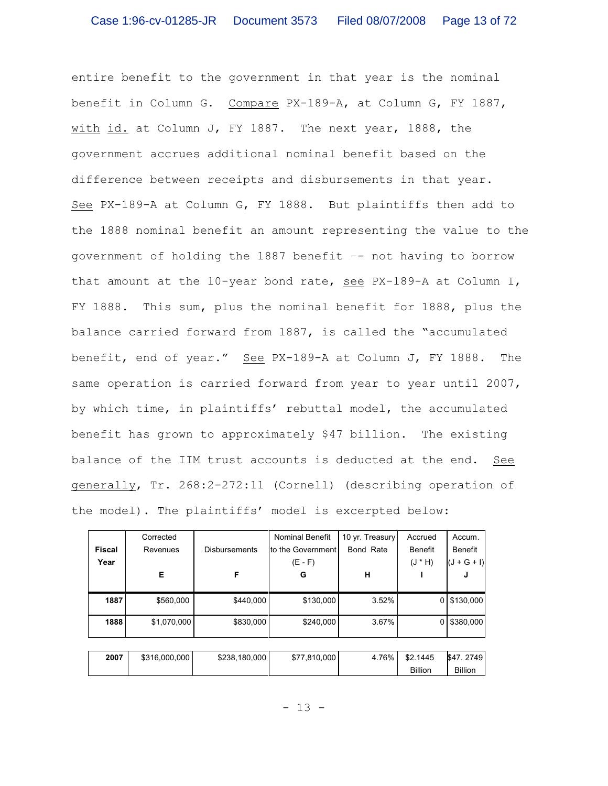entire benefit to the government in that year is the nominal benefit in Column G. Compare PX-189-A, at Column G, FY 1887, with id. at Column J, FY 1887. The next year, 1888, the government accrues additional nominal benefit based on the difference between receipts and disbursements in that year. See PX-189-A at Column G, FY 1888. But plaintiffs then add to the 1888 nominal benefit an amount representing the value to the government of holding the 1887 benefit –- not having to borrow that amount at the 10-year bond rate, see PX-189-A at Column I, FY 1888. This sum, plus the nominal benefit for 1888, plus the balance carried forward from 1887, is called the "accumulated benefit, end of year." See PX-189-A at Column J, FY 1888. The same operation is carried forward from year to year until 2007, by which time, in plaintiffs' rebuttal model, the accumulated benefit has grown to approximately \$47 billion. The existing balance of the IIM trust accounts is deducted at the end. See generally, Tr. 268:2-272:11 (Cornell) (describing operation of the model). The plaintiffs' model is excerpted below:

|               | Corrected     |                      | <b>Nominal Benefit</b> | 10 yr. Treasury | Accrued        | Accum.         |  |  |
|---------------|---------------|----------------------|------------------------|-----------------|----------------|----------------|--|--|
| <b>Fiscal</b> | Revenues      | <b>Disbursements</b> | to the Government      | Bond Rate       | <b>Benefit</b> | <b>Benefit</b> |  |  |
| Year          |               |                      | $(E - F)$              |                 | $(H * L)$      | $(J + G + I)$  |  |  |
|               | Е             | F                    | G                      | н               |                | J              |  |  |
|               |               |                      |                        |                 |                |                |  |  |
| 1887          | \$560,000     | \$440,000            | \$130,000              | 3.52%           | 0              | \$130,000      |  |  |
| 1888          | \$1,070,000   | \$830,000            | \$240,000              | 3.67%           | 0              | \$380,000      |  |  |
|               |               |                      |                        |                 |                |                |  |  |
| 2007          | \$316,000,000 | \$238,180,000        | \$77,810,000           | 4.76%           | \$2.1445       | \$47, 2749     |  |  |
|               |               |                      |                        |                 | <b>Billion</b> | <b>Billion</b> |  |  |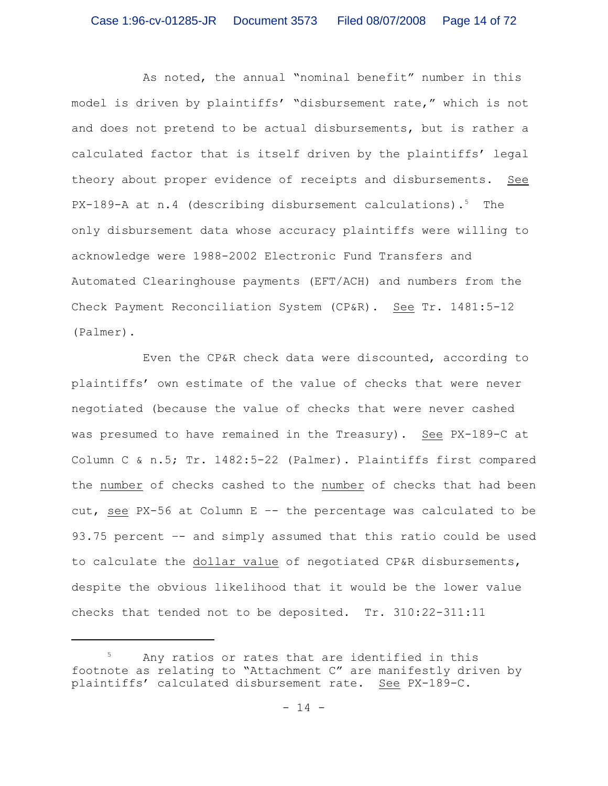As noted, the annual "nominal benefit" number in this model is driven by plaintiffs' "disbursement rate," which is not and does not pretend to be actual disbursements, but is rather a calculated factor that is itself driven by the plaintiffs' legal theory about proper evidence of receipts and disbursements. See  $PX-189-A$  at n.4 (describing disbursement calculations).<sup>5</sup> The only disbursement data whose accuracy plaintiffs were willing to acknowledge were 1988-2002 Electronic Fund Transfers and Automated Clearinghouse payments (EFT/ACH) and numbers from the Check Payment Reconciliation System (CP&R). See Tr. 1481:5-12 (Palmer).

Even the CP&R check data were discounted, according to plaintiffs' own estimate of the value of checks that were never negotiated (because the value of checks that were never cashed was presumed to have remained in the Treasury). See PX-189-C at Column C & n.5; Tr. 1482:5-22 (Palmer). Plaintiffs first compared the number of checks cashed to the number of checks that had been cut, see PX-56 at Column E –- the percentage was calculated to be 93.75 percent –- and simply assumed that this ratio could be used to calculate the dollar value of negotiated CP&R disbursements, despite the obvious likelihood that it would be the lower value checks that tended not to be deposited. Tr. 310:22-311:11

 $5$  Any ratios or rates that are identified in this footnote as relating to "Attachment C" are manifestly driven by plaintiffs' calculated disbursement rate. See PX-189-C.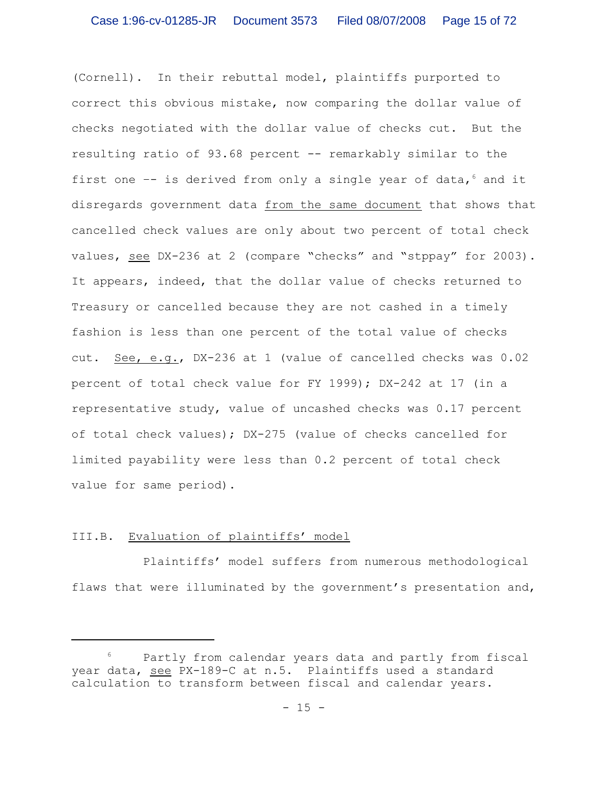(Cornell). In their rebuttal model, plaintiffs purported to correct this obvious mistake, now comparing the dollar value of checks negotiated with the dollar value of checks cut. But the resulting ratio of 93.68 percent -- remarkably similar to the first one  $-$  is derived from only a single year of data,  $6$  and it disregards government data from the same document that shows that cancelled check values are only about two percent of total check values, see DX-236 at 2 (compare "checks" and "stppay" for 2003). It appears, indeed, that the dollar value of checks returned to Treasury or cancelled because they are not cashed in a timely fashion is less than one percent of the total value of checks cut. See, e.g., DX-236 at 1 (value of cancelled checks was 0.02 percent of total check value for FY 1999); DX-242 at 17 (in a representative study, value of uncashed checks was 0.17 percent of total check values); DX-275 (value of checks cancelled for limited payability were less than 0.2 percent of total check value for same period).

### III.B. Evaluation of plaintiffs' model

Plaintiffs' model suffers from numerous methodological flaws that were illuminated by the government's presentation and,

 $6$  Partly from calendar years data and partly from fiscal year data, see PX-189-C at n.5. Plaintiffs used a standard calculation to transform between fiscal and calendar years.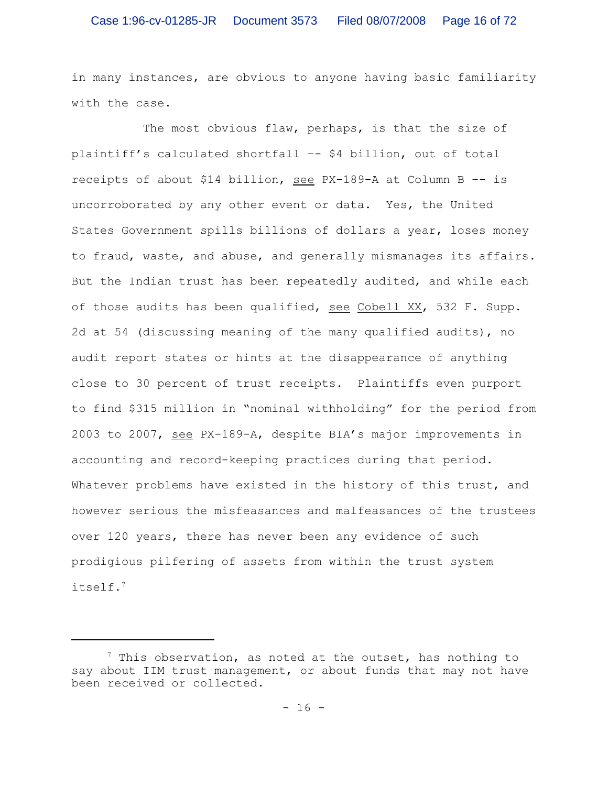in many instances, are obvious to anyone having basic familiarity with the case.

The most obvious flaw, perhaps, is that the size of plaintiff's calculated shortfall –- \$4 billion, out of total receipts of about \$14 billion, see PX-189-A at Column B –- is uncorroborated by any other event or data. Yes, the United States Government spills billions of dollars a year, loses money to fraud, waste, and abuse, and generally mismanages its affairs. But the Indian trust has been repeatedly audited, and while each of those audits has been qualified, see Cobell XX, 532 F. Supp. 2d at 54 (discussing meaning of the many qualified audits), no audit report states or hints at the disappearance of anything close to 30 percent of trust receipts. Plaintiffs even purport to find \$315 million in "nominal withholding" for the period from 2003 to 2007, see PX-189-A, despite BIA's major improvements in accounting and record-keeping practices during that period. Whatever problems have existed in the history of this trust, and however serious the misfeasances and malfeasances of the trustees over 120 years, there has never been any evidence of such prodigious pilfering of assets from within the trust system itself.<sup>7</sup>

 $^7$  This observation, as noted at the outset, has nothing to say about IIM trust management, or about funds that may not have been received or collected.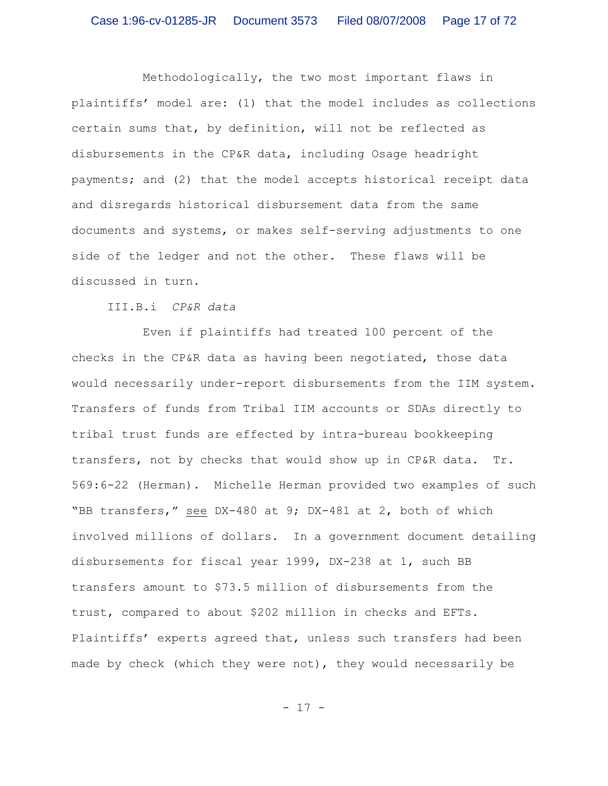Methodologically, the two most important flaws in plaintiffs' model are: (1) that the model includes as collections certain sums that, by definition, will not be reflected as disbursements in the CP&R data, including Osage headright payments; and (2) that the model accepts historical receipt data and disregards historical disbursement data from the same documents and systems, or makes self-serving adjustments to one side of the ledger and not the other. These flaws will be discussed in turn.

III.B.i *CP&R data*

Even if plaintiffs had treated 100 percent of the checks in the CP&R data as having been negotiated, those data would necessarily under-report disbursements from the IIM system. Transfers of funds from Tribal IIM accounts or SDAs directly to tribal trust funds are effected by intra-bureau bookkeeping transfers, not by checks that would show up in CP&R data. Tr. 569:6-22 (Herman). Michelle Herman provided two examples of such "BB transfers," see DX-480 at 9; DX-481 at 2, both of which involved millions of dollars. In a government document detailing disbursements for fiscal year 1999, DX-238 at 1, such BB transfers amount to \$73.5 million of disbursements from the trust, compared to about \$202 million in checks and EFTs. Plaintiffs' experts agreed that, unless such transfers had been made by check (which they were not), they would necessarily be

- 17 -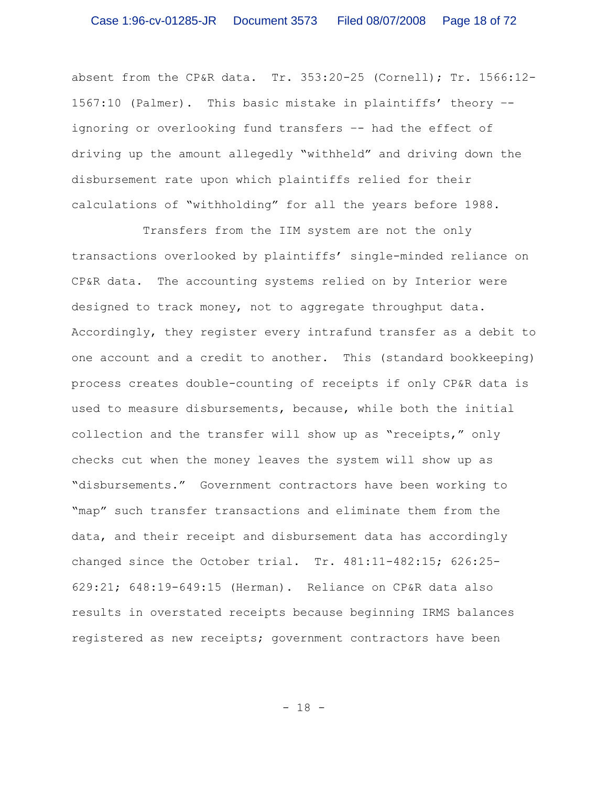absent from the CP&R data. Tr. 353:20-25 (Cornell); Tr. 1566:12- 1567:10 (Palmer). This basic mistake in plaintiffs' theory – ignoring or overlooking fund transfers –- had the effect of driving up the amount allegedly "withheld" and driving down the disbursement rate upon which plaintiffs relied for their calculations of "withholding" for all the years before 1988.

Transfers from the IIM system are not the only transactions overlooked by plaintiffs' single-minded reliance on CP&R data. The accounting systems relied on by Interior were designed to track money, not to aggregate throughput data. Accordingly, they register every intrafund transfer as a debit to one account and a credit to another. This (standard bookkeeping) process creates double-counting of receipts if only CP&R data is used to measure disbursements, because, while both the initial collection and the transfer will show up as "receipts," only checks cut when the money leaves the system will show up as "disbursements." Government contractors have been working to "map" such transfer transactions and eliminate them from the data, and their receipt and disbursement data has accordingly changed since the October trial. Tr. 481:11-482:15; 626:25- 629:21; 648:19-649:15 (Herman). Reliance on CP&R data also results in overstated receipts because beginning IRMS balances registered as new receipts; government contractors have been

- 18 -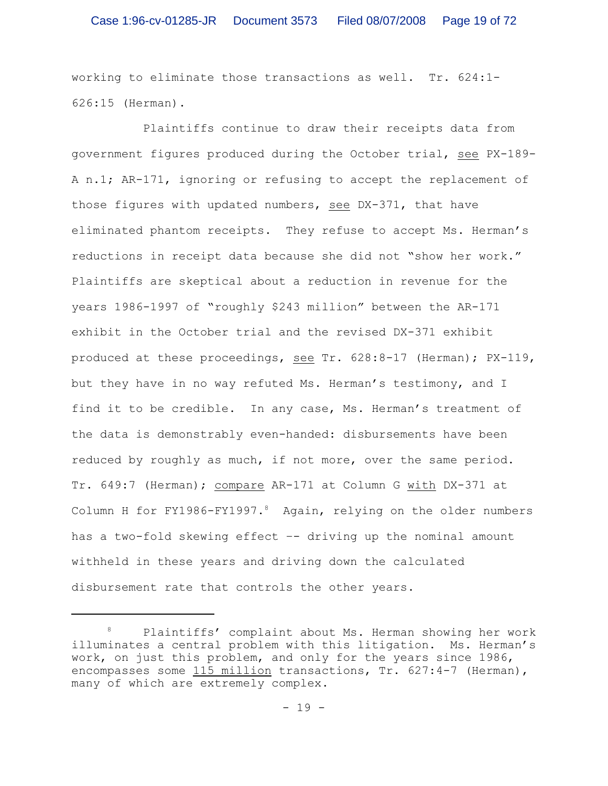working to eliminate those transactions as well. Tr. 624:1- 626:15 (Herman).

Plaintiffs continue to draw their receipts data from government figures produced during the October trial, see PX-189- A n.1; AR-171, ignoring or refusing to accept the replacement of those figures with updated numbers, see DX-371, that have eliminated phantom receipts. They refuse to accept Ms. Herman's reductions in receipt data because she did not "show her work." Plaintiffs are skeptical about a reduction in revenue for the years 1986-1997 of "roughly \$243 million" between the AR-171 exhibit in the October trial and the revised DX-371 exhibit produced at these proceedings, see Tr. 628:8-17 (Herman); PX-119, but they have in no way refuted Ms. Herman's testimony, and I find it to be credible. In any case, Ms. Herman's treatment of the data is demonstrably even-handed: disbursements have been reduced by roughly as much, if not more, over the same period. Tr. 649:7 (Herman); compare AR-171 at Column G with DX-371 at Column H for FY1986-FY1997.<sup>8</sup> Again, relying on the older numbers has a two-fold skewing effect –- driving up the nominal amount withheld in these years and driving down the calculated disbursement rate that controls the other years.

Plaintiffs' complaint about Ms. Herman showing her work illuminates a central problem with this litigation. Ms. Herman's work, on just this problem, and only for the years since 1986, encompasses some 115 million transactions, Tr. 627:4-7 (Herman), many of which are extremely complex.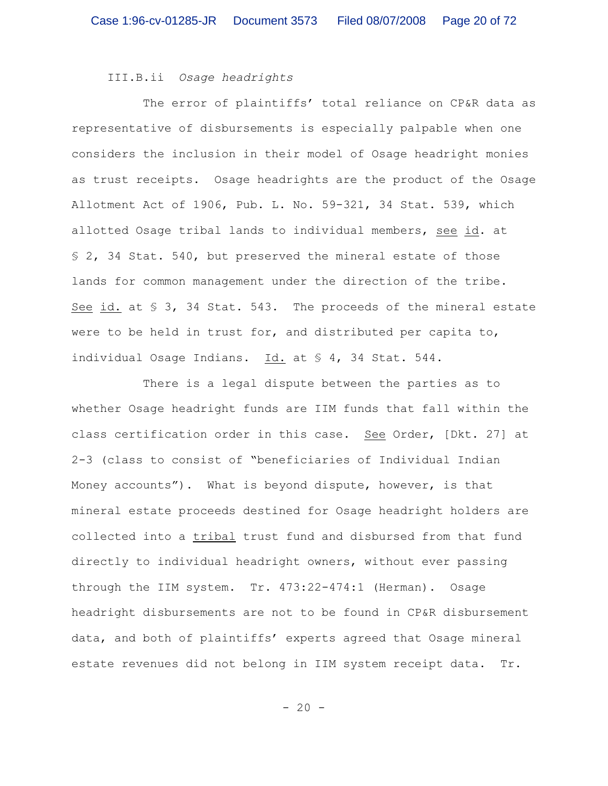III.B.ii *Osage headrights*

The error of plaintiffs' total reliance on CP&R data as representative of disbursements is especially palpable when one considers the inclusion in their model of Osage headright monies as trust receipts. Osage headrights are the product of the Osage Allotment Act of 1906, Pub. L. No. 59-321, 34 Stat. 539, which allotted Osage tribal lands to individual members, see id. at § 2, 34 Stat. 540, but preserved the mineral estate of those lands for common management under the direction of the tribe. See id. at § 3, 34 Stat. 543. The proceeds of the mineral estate were to be held in trust for, and distributed per capita to, individual Osage Indians. Id. at § 4, 34 Stat. 544.

There is a legal dispute between the parties as to whether Osage headright funds are IIM funds that fall within the class certification order in this case. See Order, [Dkt. 27] at 2-3 (class to consist of "beneficiaries of Individual Indian Money accounts"). What is beyond dispute, however, is that mineral estate proceeds destined for Osage headright holders are collected into a tribal trust fund and disbursed from that fund directly to individual headright owners, without ever passing through the IIM system. Tr. 473:22-474:1 (Herman). Osage headright disbursements are not to be found in CP&R disbursement data, and both of plaintiffs' experts agreed that Osage mineral estate revenues did not belong in IIM system receipt data. Tr.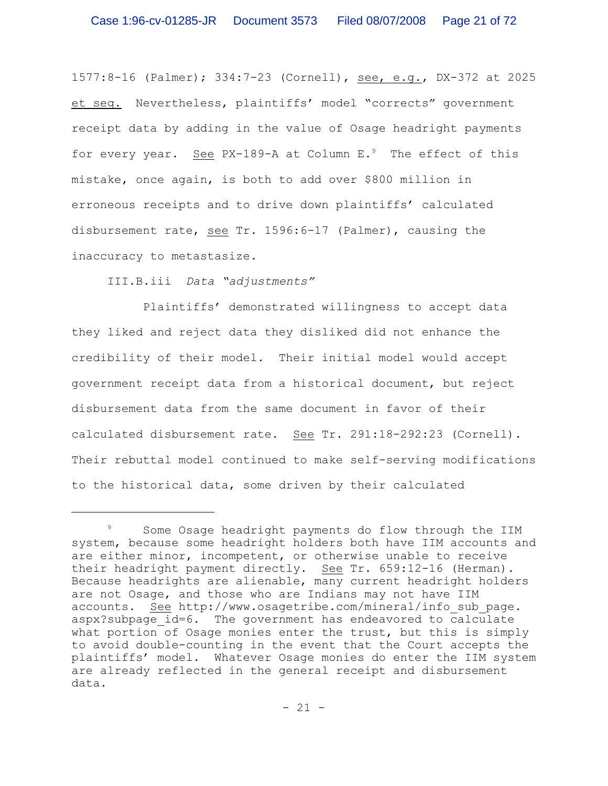1577:8-16 (Palmer); 334:7-23 (Cornell), see, e.g., DX-372 at 2025 et seq. Nevertheless, plaintiffs' model "corrects" government receipt data by adding in the value of Osage headright payments for every year. See PX-189-A at Column  $E.^9$  The effect of this mistake, once again, is both to add over \$800 million in erroneous receipts and to drive down plaintiffs' calculated disbursement rate, see Tr. 1596:6-17 (Palmer), causing the inaccuracy to metastasize.

III.B.iii *Data "adjustments"*

Plaintiffs' demonstrated willingness to accept data they liked and reject data they disliked did not enhance the credibility of their model. Their initial model would accept government receipt data from a historical document, but reject disbursement data from the same document in favor of their calculated disbursement rate. See Tr. 291:18-292:23 (Cornell). Their rebuttal model continued to make self-serving modifications to the historical data, some driven by their calculated

<sup>&</sup>lt;sup>9</sup> Some Osage headright payments do flow through the IIM system, because some headright holders both have IIM accounts and are either minor, incompetent, or otherwise unable to receive their headright payment directly. See Tr. 659:12-16 (Herman). Because headrights are alienable, many current headright holders are not Osage, and those who are Indians may not have IIM accounts. See http://www.osagetribe.com/mineral/info\_sub\_page. aspx?subpage id=6. The government has endeavored to calculate what portion of Osage monies enter the trust, but this is simply to avoid double-counting in the event that the Court accepts the plaintiffs' model. Whatever Osage monies do enter the IIM system are already reflected in the general receipt and disbursement data.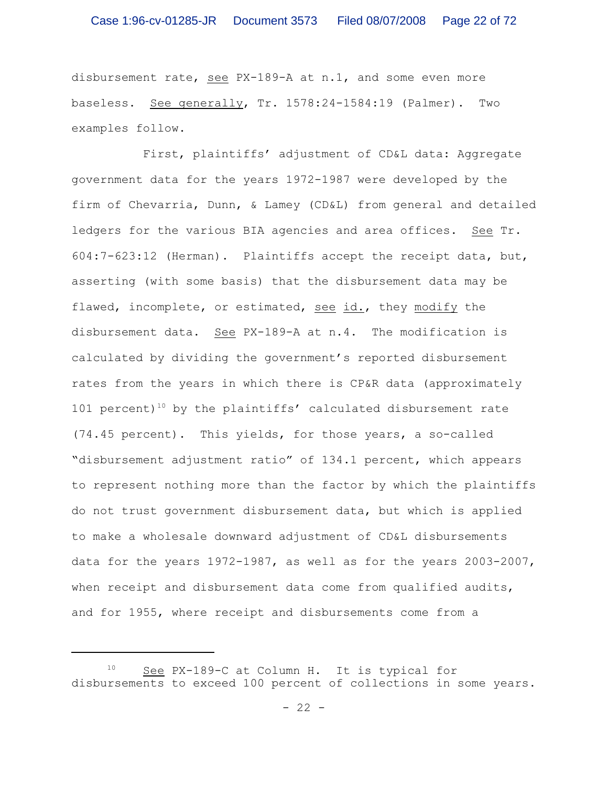disbursement rate, see PX-189-A at n.1, and some even more baseless. See generally, Tr. 1578:24-1584:19 (Palmer). Two examples follow.

First, plaintiffs' adjustment of CD&L data: Aggregate government data for the years 1972-1987 were developed by the firm of Chevarria, Dunn, & Lamey (CD&L) from general and detailed ledgers for the various BIA agencies and area offices. See Tr. 604:7-623:12 (Herman). Plaintiffs accept the receipt data, but, asserting (with some basis) that the disbursement data may be flawed, incomplete, or estimated, see id., they modify the disbursement data. See PX-189-A at n.4. The modification is calculated by dividing the government's reported disbursement rates from the years in which there is CP&R data (approximately 101 percent)<sup>10</sup> by the plaintiffs' calculated disbursement rate (74.45 percent). This yields, for those years, a so-called "disbursement adjustment ratio" of 134.1 percent, which appears to represent nothing more than the factor by which the plaintiffs do not trust government disbursement data, but which is applied to make a wholesale downward adjustment of CD&L disbursements data for the years 1972-1987, as well as for the years 2003-2007, when receipt and disbursement data come from qualified audits, and for 1955, where receipt and disbursements come from a

 $10$  See PX-189-C at Column H. It is typical for disbursements to exceed 100 percent of collections in some years.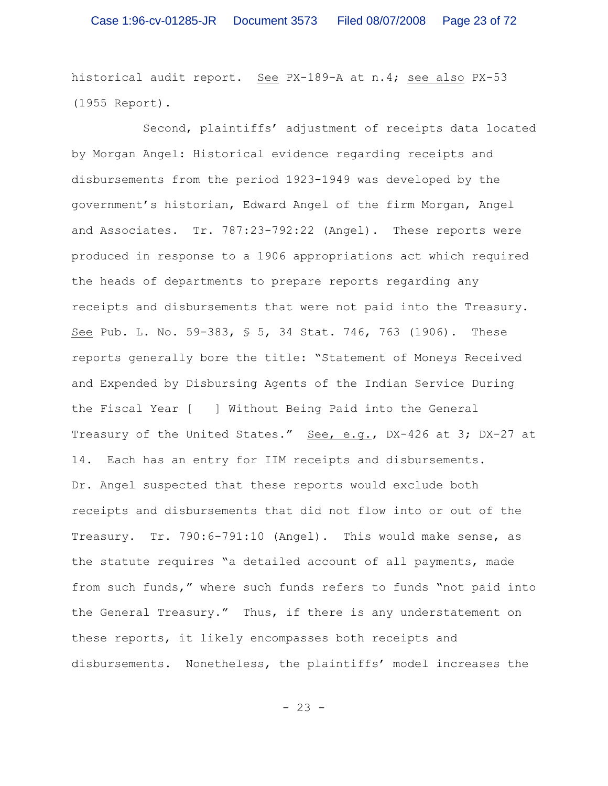historical audit report. See PX-189-A at n.4; see also PX-53 (1955 Report).

Second, plaintiffs' adjustment of receipts data located by Morgan Angel: Historical evidence regarding receipts and disbursements from the period 1923-1949 was developed by the government's historian, Edward Angel of the firm Morgan, Angel and Associates. Tr. 787:23-792:22 (Angel). These reports were produced in response to a 1906 appropriations act which required the heads of departments to prepare reports regarding any receipts and disbursements that were not paid into the Treasury. See Pub. L. No. 59-383, § 5, 34 Stat. 746, 763 (1906). These reports generally bore the title: "Statement of Moneys Received and Expended by Disbursing Agents of the Indian Service During the Fiscal Year [ ] Without Being Paid into the General Treasury of the United States." See, e.g., DX-426 at 3; DX-27 at 14. Each has an entry for IIM receipts and disbursements. Dr. Angel suspected that these reports would exclude both receipts and disbursements that did not flow into or out of the Treasury. Tr. 790:6-791:10 (Angel). This would make sense, as the statute requires "a detailed account of all payments, made from such funds," where such funds refers to funds "not paid into the General Treasury." Thus, if there is any understatement on these reports, it likely encompasses both receipts and disbursements. Nonetheless, the plaintiffs' model increases the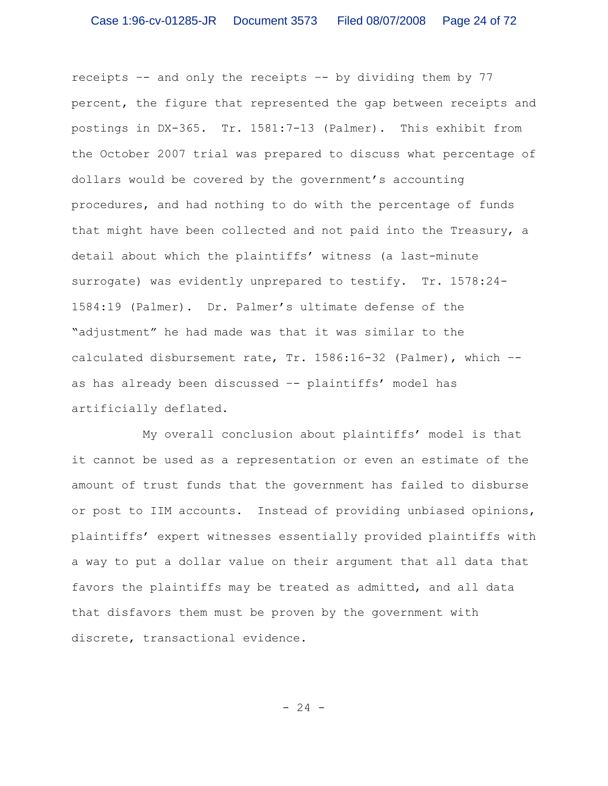receipts –- and only the receipts –- by dividing them by 77 percent, the figure that represented the gap between receipts and postings in DX-365. Tr. 1581:7-13 (Palmer). This exhibit from the October 2007 trial was prepared to discuss what percentage of dollars would be covered by the government's accounting procedures, and had nothing to do with the percentage of funds that might have been collected and not paid into the Treasury, a detail about which the plaintiffs' witness (a last-minute surrogate) was evidently unprepared to testify. Tr. 1578:24- 1584:19 (Palmer). Dr. Palmer's ultimate defense of the "adjustment" he had made was that it was similar to the calculated disbursement rate, Tr. 1586:16-32 (Palmer), which – as has already been discussed –- plaintiffs' model has artificially deflated.

My overall conclusion about plaintiffs' model is that it cannot be used as a representation or even an estimate of the amount of trust funds that the government has failed to disburse or post to IIM accounts. Instead of providing unbiased opinions, plaintiffs' expert witnesses essentially provided plaintiffs with a way to put a dollar value on their argument that all data that favors the plaintiffs may be treated as admitted, and all data that disfavors them must be proven by the government with discrete, transactional evidence.

- 24 -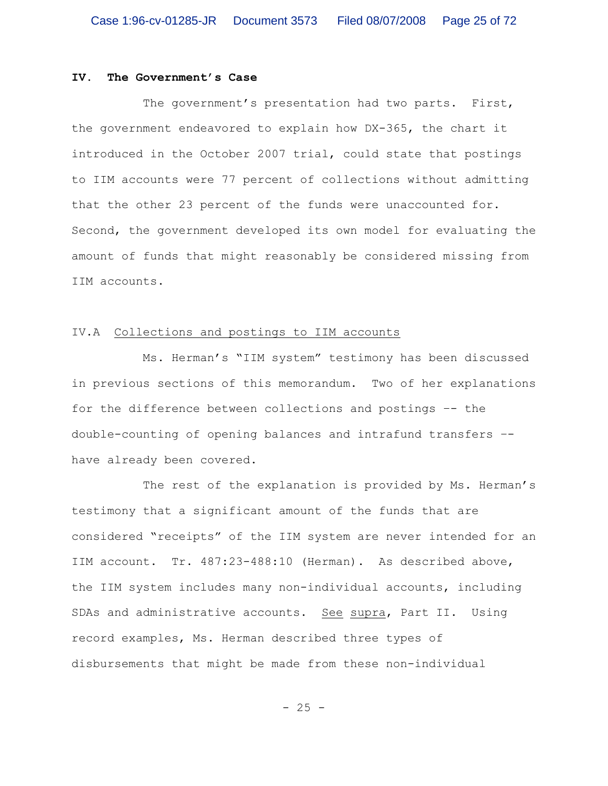### **IV. The Government's Case**

The government's presentation had two parts. First, the government endeavored to explain how DX-365, the chart it introduced in the October 2007 trial, could state that postings to IIM accounts were 77 percent of collections without admitting that the other 23 percent of the funds were unaccounted for. Second, the government developed its own model for evaluating the amount of funds that might reasonably be considered missing from IIM accounts.

### IV.A Collections and postings to IIM accounts

Ms. Herman's "IIM system" testimony has been discussed in previous sections of this memorandum. Two of her explanations for the difference between collections and postings –- the double-counting of opening balances and intrafund transfers – have already been covered.

The rest of the explanation is provided by Ms. Herman's testimony that a significant amount of the funds that are considered "receipts" of the IIM system are never intended for an IIM account. Tr. 487:23-488:10 (Herman). As described above, the IIM system includes many non-individual accounts, including SDAs and administrative accounts. See supra, Part II. Using record examples, Ms. Herman described three types of disbursements that might be made from these non-individual

- 25 -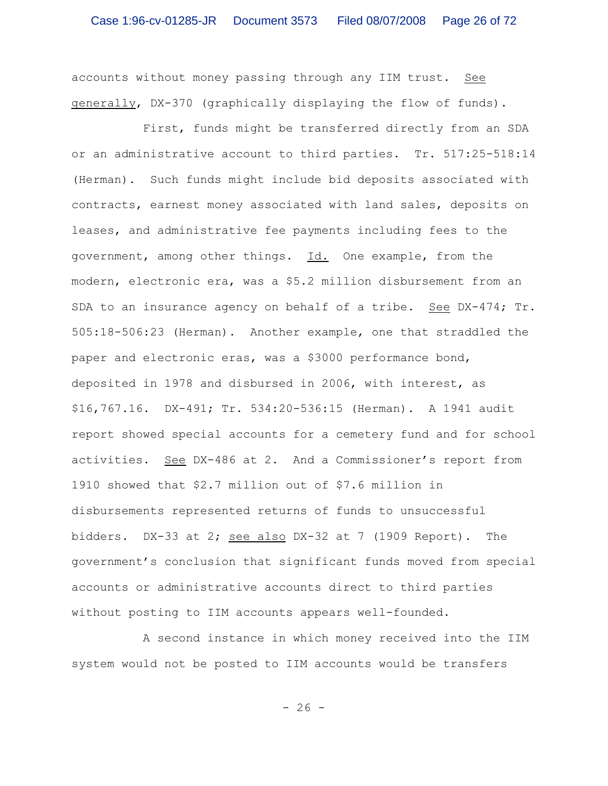accounts without money passing through any IIM trust. See generally, DX-370 (graphically displaying the flow of funds).

First, funds might be transferred directly from an SDA or an administrative account to third parties. Tr. 517:25-518:14 (Herman). Such funds might include bid deposits associated with contracts, earnest money associated with land sales, deposits on leases, and administrative fee payments including fees to the government, among other things. Id. One example, from the modern, electronic era, was a \$5.2 million disbursement from an SDA to an insurance agency on behalf of a tribe. See  $DX-474$ ; Tr. 505:18-506:23 (Herman). Another example, one that straddled the paper and electronic eras, was a \$3000 performance bond, deposited in 1978 and disbursed in 2006, with interest, as \$16,767.16. DX-491; Tr. 534:20-536:15 (Herman). A 1941 audit report showed special accounts for a cemetery fund and for school activities. See DX-486 at 2. And a Commissioner's report from 1910 showed that \$2.7 million out of \$7.6 million in disbursements represented returns of funds to unsuccessful bidders. DX-33 at 2; see also DX-32 at 7 (1909 Report). The government's conclusion that significant funds moved from special accounts or administrative accounts direct to third parties without posting to IIM accounts appears well-founded.

A second instance in which money received into the IIM system would not be posted to IIM accounts would be transfers

 $- 26 -$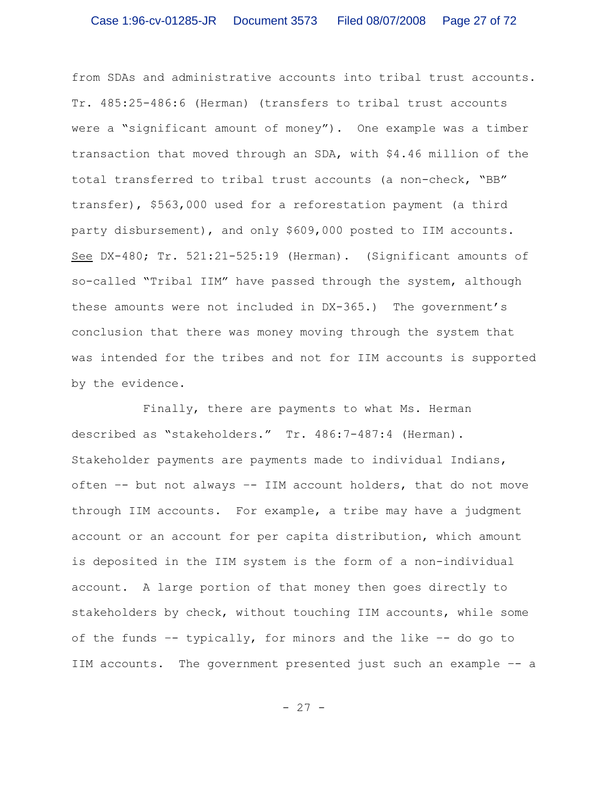from SDAs and administrative accounts into tribal trust accounts. Tr. 485:25-486:6 (Herman) (transfers to tribal trust accounts were a "significant amount of money"). One example was a timber transaction that moved through an SDA, with \$4.46 million of the total transferred to tribal trust accounts (a non-check, "BB" transfer), \$563,000 used for a reforestation payment (a third party disbursement), and only \$609,000 posted to IIM accounts. See DX-480; Tr. 521:21-525:19 (Herman). (Significant amounts of so-called "Tribal IIM" have passed through the system, although these amounts were not included in DX-365.) The government's conclusion that there was money moving through the system that was intended for the tribes and not for IIM accounts is supported by the evidence.

Finally, there are payments to what Ms. Herman described as "stakeholders." Tr. 486:7-487:4 (Herman). Stakeholder payments are payments made to individual Indians, often –- but not always –- IIM account holders, that do not move through IIM accounts. For example, a tribe may have a judgment account or an account for per capita distribution, which amount is deposited in the IIM system is the form of a non-individual account. A large portion of that money then goes directly to stakeholders by check, without touching IIM accounts, while some of the funds –- typically, for minors and the like –- do go to IIM accounts. The government presented just such an example –- a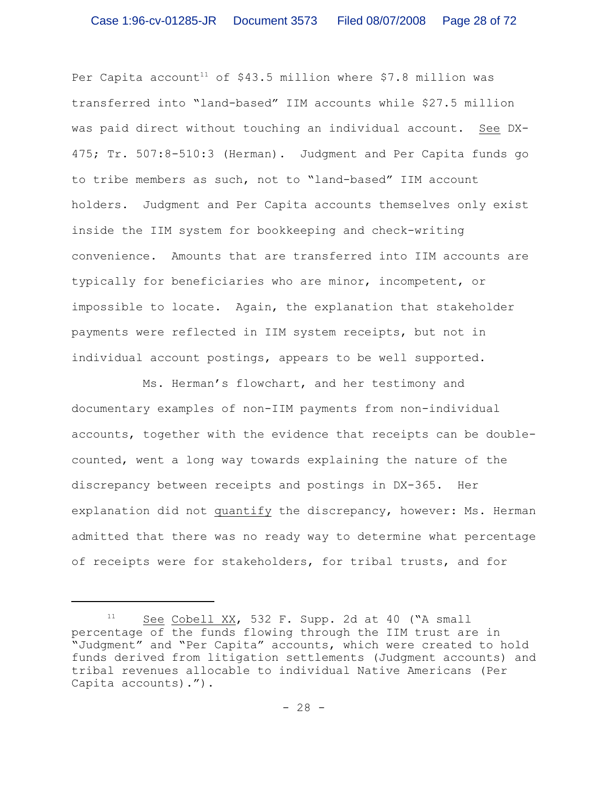Per Capita account<sup>11</sup> of \$43.5 million where \$7.8 million was transferred into "land-based" IIM accounts while \$27.5 million was paid direct without touching an individual account. See DX-475; Tr. 507:8-510:3 (Herman). Judgment and Per Capita funds go to tribe members as such, not to "land-based" IIM account holders. Judgment and Per Capita accounts themselves only exist inside the IIM system for bookkeeping and check-writing convenience. Amounts that are transferred into IIM accounts are typically for beneficiaries who are minor, incompetent, or impossible to locate. Again, the explanation that stakeholder payments were reflected in IIM system receipts, but not in individual account postings, appears to be well supported.

Ms. Herman's flowchart, and her testimony and documentary examples of non-IIM payments from non-individual accounts, together with the evidence that receipts can be doublecounted, went a long way towards explaining the nature of the discrepancy between receipts and postings in DX-365. Her explanation did not quantify the discrepancy, however: Ms. Herman admitted that there was no ready way to determine what percentage of receipts were for stakeholders, for tribal trusts, and for

 $11$  See Cobell XX, 532 F. Supp. 2d at 40 ("A small percentage of the funds flowing through the IIM trust are in "Judgment" and "Per Capita" accounts, which were created to hold funds derived from litigation settlements (Judgment accounts) and tribal revenues allocable to individual Native Americans (Per Capita accounts).").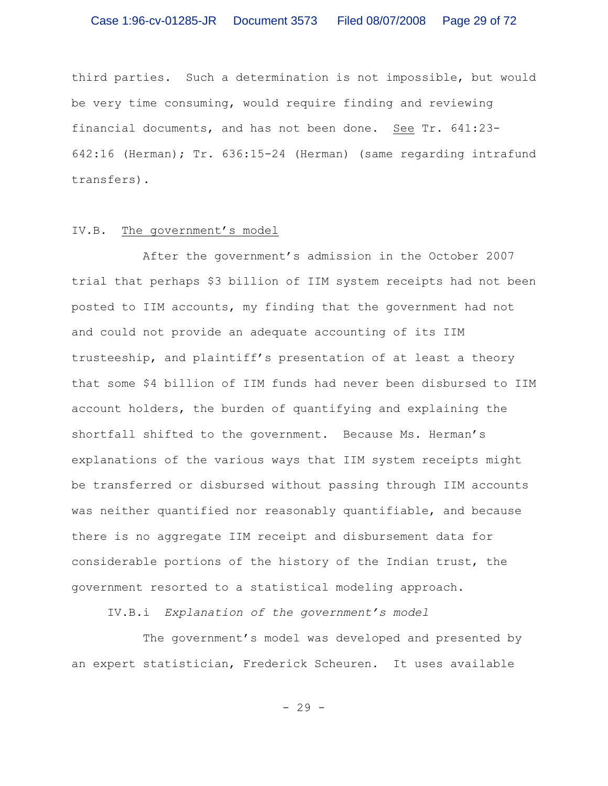third parties. Such a determination is not impossible, but would be very time consuming, would require finding and reviewing financial documents, and has not been done. See Tr. 641:23- 642:16 (Herman); Tr. 636:15-24 (Herman) (same regarding intrafund transfers).

#### IV.B. The government's model

After the government's admission in the October 2007 trial that perhaps \$3 billion of IIM system receipts had not been posted to IIM accounts, my finding that the government had not and could not provide an adequate accounting of its IIM trusteeship, and plaintiff's presentation of at least a theory that some \$4 billion of IIM funds had never been disbursed to IIM account holders, the burden of quantifying and explaining the shortfall shifted to the government. Because Ms. Herman's explanations of the various ways that IIM system receipts might be transferred or disbursed without passing through IIM accounts was neither quantified nor reasonably quantifiable, and because there is no aggregate IIM receipt and disbursement data for considerable portions of the history of the Indian trust, the government resorted to a statistical modeling approach.

IV.B.i *Explanation of the government's model*

The government's model was developed and presented by an expert statistician, Frederick Scheuren. It uses available

- 29 -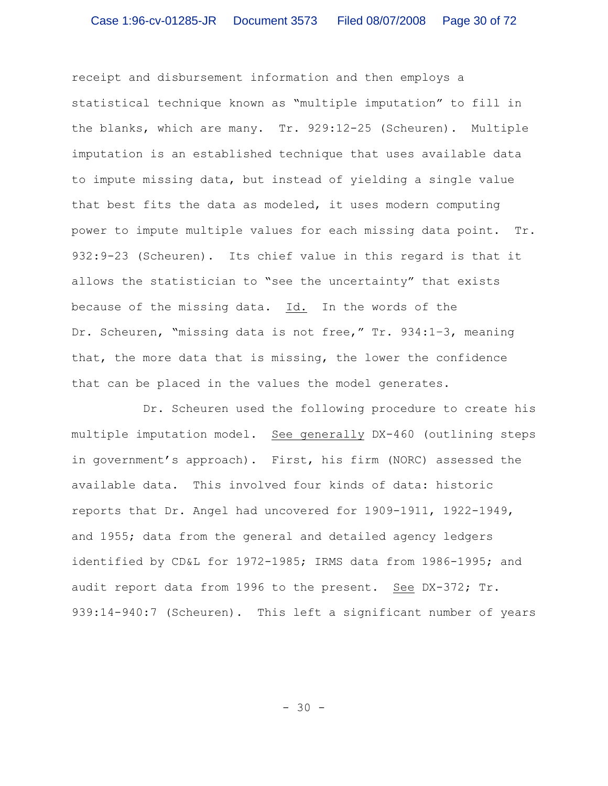receipt and disbursement information and then employs a statistical technique known as "multiple imputation" to fill in the blanks, which are many. Tr. 929:12-25 (Scheuren). Multiple imputation is an established technique that uses available data to impute missing data, but instead of yielding a single value that best fits the data as modeled, it uses modern computing power to impute multiple values for each missing data point. Tr. 932:9-23 (Scheuren). Its chief value in this regard is that it allows the statistician to "see the uncertainty" that exists because of the missing data. Id. In the words of the Dr. Scheuren, "missing data is not free," Tr. 934:1–3, meaning that, the more data that is missing, the lower the confidence that can be placed in the values the model generates.

Dr. Scheuren used the following procedure to create his multiple imputation model. See generally DX-460 (outlining steps in government's approach). First, his firm (NORC) assessed the available data. This involved four kinds of data: historic reports that Dr. Angel had uncovered for 1909-1911, 1922-1949, and 1955; data from the general and detailed agency ledgers identified by CD&L for 1972-1985; IRMS data from 1986-1995; and audit report data from 1996 to the present. See DX-372; Tr. 939:14-940:7 (Scheuren). This left a significant number of years

- 30 -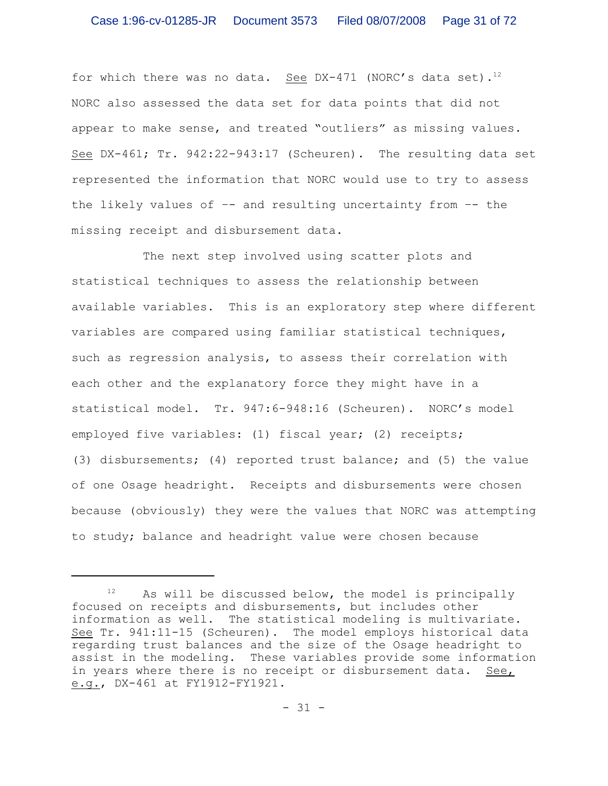for which there was no data. See DX-471 (NORC's data set).<sup>12</sup> NORC also assessed the data set for data points that did not appear to make sense, and treated "outliers" as missing values. See DX-461; Tr. 942:22-943:17 (Scheuren). The resulting data set represented the information that NORC would use to try to assess the likely values of –- and resulting uncertainty from –- the missing receipt and disbursement data.

The next step involved using scatter plots and statistical techniques to assess the relationship between available variables. This is an exploratory step where different variables are compared using familiar statistical techniques, such as regression analysis, to assess their correlation with each other and the explanatory force they might have in a statistical model. Tr. 947:6-948:16 (Scheuren). NORC's model employed five variables: (1) fiscal year; (2) receipts; (3) disbursements; (4) reported trust balance; and (5) the value of one Osage headright. Receipts and disbursements were chosen because (obviously) they were the values that NORC was attempting to study; balance and headright value were chosen because

 $12$  As will be discussed below, the model is principally focused on receipts and disbursements, but includes other information as well. The statistical modeling is multivariate. See Tr. 941:11-15 (Scheuren). The model employs historical data regarding trust balances and the size of the Osage headright to assist in the modeling. These variables provide some information in years where there is no receipt or disbursement data. See, e.g., DX-461 at FY1912-FY1921.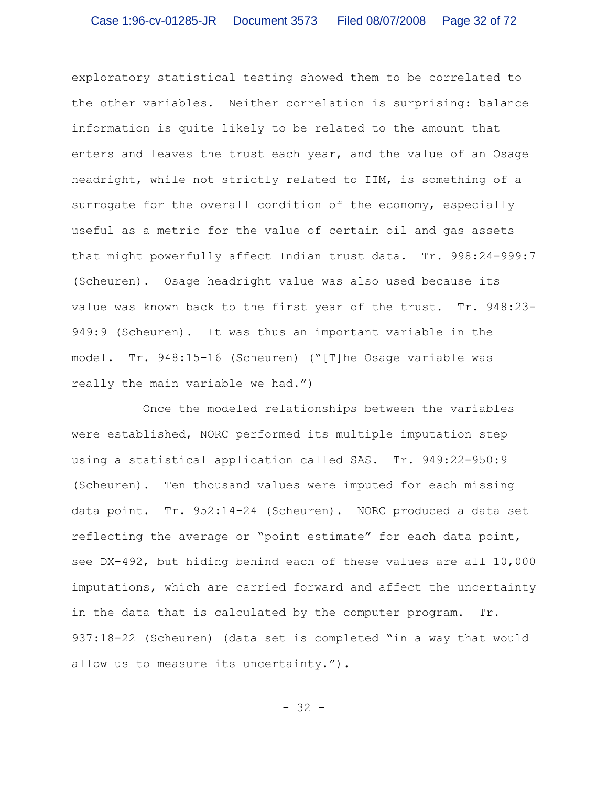exploratory statistical testing showed them to be correlated to the other variables. Neither correlation is surprising: balance information is quite likely to be related to the amount that enters and leaves the trust each year, and the value of an Osage headright, while not strictly related to IIM, is something of a surrogate for the overall condition of the economy, especially useful as a metric for the value of certain oil and gas assets that might powerfully affect Indian trust data. Tr. 998:24-999:7 (Scheuren). Osage headright value was also used because its value was known back to the first year of the trust. Tr. 948:23- 949:9 (Scheuren). It was thus an important variable in the model. Tr. 948:15-16 (Scheuren) ("[T]he Osage variable was really the main variable we had.")

Once the modeled relationships between the variables were established, NORC performed its multiple imputation step using a statistical application called SAS. Tr. 949:22-950:9 (Scheuren). Ten thousand values were imputed for each missing data point. Tr. 952:14-24 (Scheuren). NORC produced a data set reflecting the average or "point estimate" for each data point, see DX-492, but hiding behind each of these values are all 10,000 imputations, which are carried forward and affect the uncertainty in the data that is calculated by the computer program. Tr. 937:18-22 (Scheuren) (data set is completed "in a way that would allow us to measure its uncertainty.").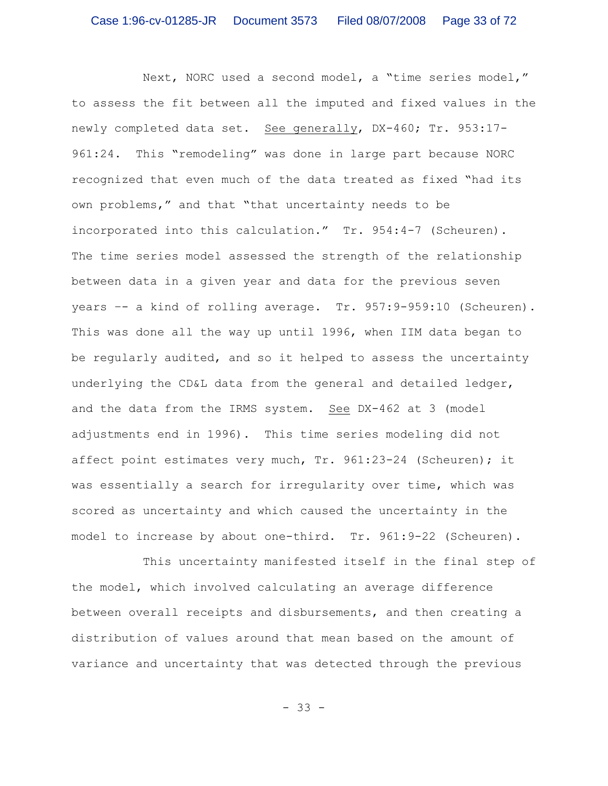Next, NORC used a second model, a "time series model," to assess the fit between all the imputed and fixed values in the newly completed data set. See generally, DX-460; Tr. 953:17-961:24. This "remodeling" was done in large part because NORC recognized that even much of the data treated as fixed "had its own problems," and that "that uncertainty needs to be incorporated into this calculation." Tr. 954:4-7 (Scheuren). The time series model assessed the strength of the relationship between data in a given year and data for the previous seven years –- a kind of rolling average. Tr. 957:9-959:10 (Scheuren). This was done all the way up until 1996, when IIM data began to be regularly audited, and so it helped to assess the uncertainty underlying the CD&L data from the general and detailed ledger, and the data from the IRMS system. See DX-462 at 3 (model adjustments end in 1996). This time series modeling did not affect point estimates very much, Tr. 961:23-24 (Scheuren); it was essentially a search for irregularity over time, which was scored as uncertainty and which caused the uncertainty in the model to increase by about one-third. Tr. 961:9-22 (Scheuren).

This uncertainty manifested itself in the final step of the model, which involved calculating an average difference between overall receipts and disbursements, and then creating a distribution of values around that mean based on the amount of variance and uncertainty that was detected through the previous

- 33 -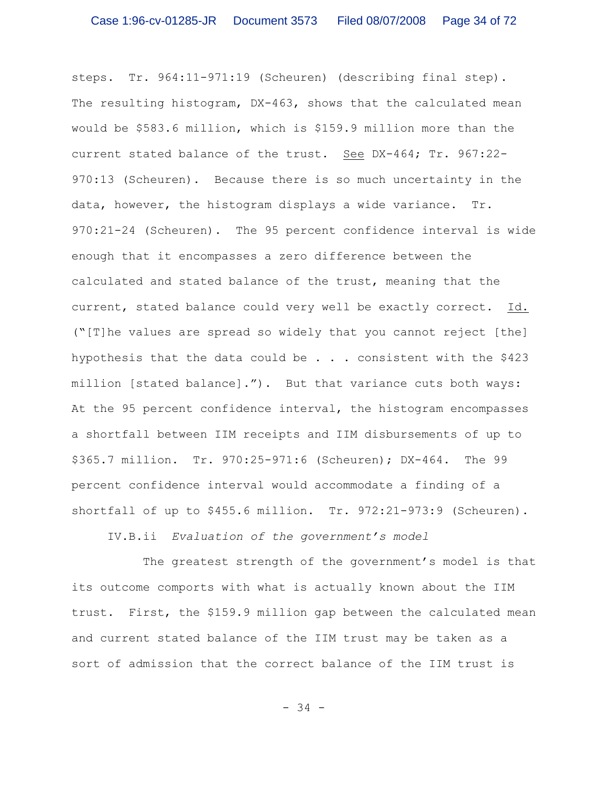steps. Tr. 964:11-971:19 (Scheuren) (describing final step). The resulting histogram, DX-463, shows that the calculated mean would be \$583.6 million, which is \$159.9 million more than the current stated balance of the trust. See DX-464; Tr. 967:22- 970:13 (Scheuren). Because there is so much uncertainty in the data, however, the histogram displays a wide variance. Tr. 970:21-24 (Scheuren). The 95 percent confidence interval is wide enough that it encompasses a zero difference between the calculated and stated balance of the trust, meaning that the current, stated balance could very well be exactly correct. Id. ("[T]he values are spread so widely that you cannot reject [the] hypothesis that the data could be  $\ldots$  . consistent with the \$423 million [stated balance]."). But that variance cuts both ways: At the 95 percent confidence interval, the histogram encompasses a shortfall between IIM receipts and IIM disbursements of up to \$365.7 million. Tr. 970:25-971:6 (Scheuren); DX-464. The 99 percent confidence interval would accommodate a finding of a shortfall of up to \$455.6 million. Tr. 972:21-973:9 (Scheuren).

IV.B.ii *Evaluation of the government's model*

The greatest strength of the government's model is that its outcome comports with what is actually known about the IIM trust. First, the \$159.9 million gap between the calculated mean and current stated balance of the IIM trust may be taken as a sort of admission that the correct balance of the IIM trust is

- 34 -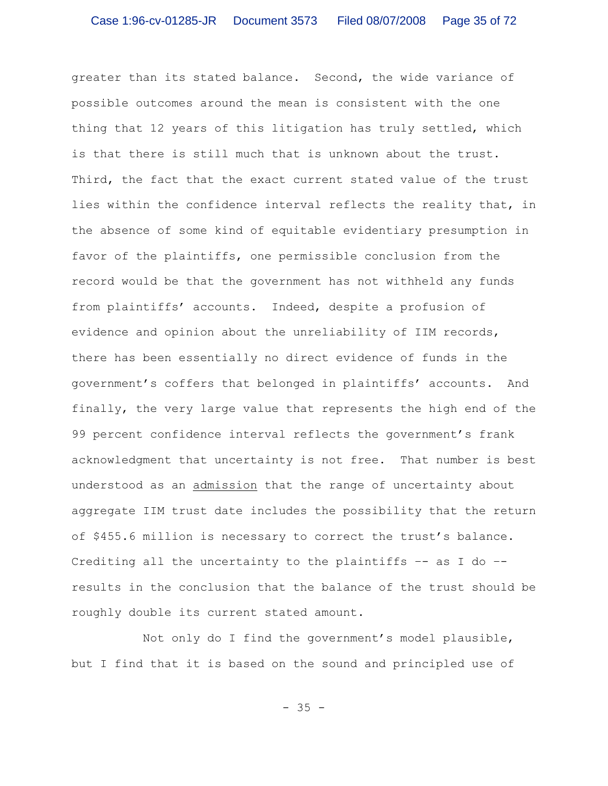greater than its stated balance. Second, the wide variance of possible outcomes around the mean is consistent with the one thing that 12 years of this litigation has truly settled, which is that there is still much that is unknown about the trust. Third, the fact that the exact current stated value of the trust lies within the confidence interval reflects the reality that, in the absence of some kind of equitable evidentiary presumption in favor of the plaintiffs, one permissible conclusion from the record would be that the government has not withheld any funds from plaintiffs' accounts. Indeed, despite a profusion of evidence and opinion about the unreliability of IIM records, there has been essentially no direct evidence of funds in the government's coffers that belonged in plaintiffs' accounts. And finally, the very large value that represents the high end of the 99 percent confidence interval reflects the government's frank acknowledgment that uncertainty is not free. That number is best understood as an admission that the range of uncertainty about aggregate IIM trust date includes the possibility that the return of \$455.6 million is necessary to correct the trust's balance. Crediting all the uncertainty to the plaintiffs –- as I do – results in the conclusion that the balance of the trust should be roughly double its current stated amount.

Not only do I find the government's model plausible, but I find that it is based on the sound and principled use of

 $- 35 -$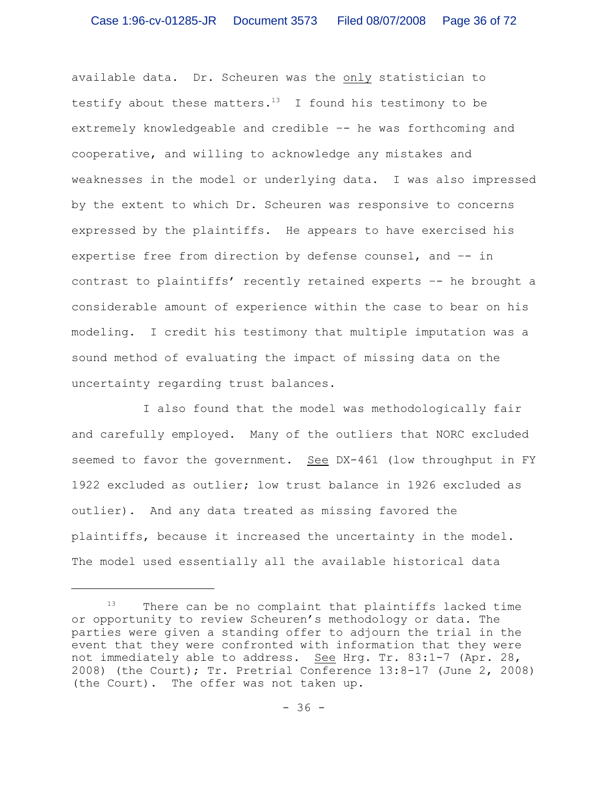available data. Dr. Scheuren was the only statistician to testify about these matters.<sup>13</sup> I found his testimony to be extremely knowledgeable and credible –- he was forthcoming and cooperative, and willing to acknowledge any mistakes and weaknesses in the model or underlying data. I was also impressed by the extent to which Dr. Scheuren was responsive to concerns expressed by the plaintiffs. He appears to have exercised his expertise free from direction by defense counsel, and –- in contrast to plaintiffs' recently retained experts –- he brought a considerable amount of experience within the case to bear on his modeling. I credit his testimony that multiple imputation was a sound method of evaluating the impact of missing data on the uncertainty regarding trust balances.

I also found that the model was methodologically fair and carefully employed. Many of the outliers that NORC excluded seemed to favor the government. See DX-461 (low throughput in FY 1922 excluded as outlier; low trust balance in 1926 excluded as outlier). And any data treated as missing favored the plaintiffs, because it increased the uncertainty in the model. The model used essentially all the available historical data

 $13$  There can be no complaint that plaintiffs lacked time or opportunity to review Scheuren's methodology or data. The parties were given a standing offer to adjourn the trial in the event that they were confronted with information that they were not immediately able to address. See Hrg. Tr. 83:1-7 (Apr. 28, 2008) (the Court); Tr. Pretrial Conference 13:8-17 (June 2, 2008) (the Court). The offer was not taken up.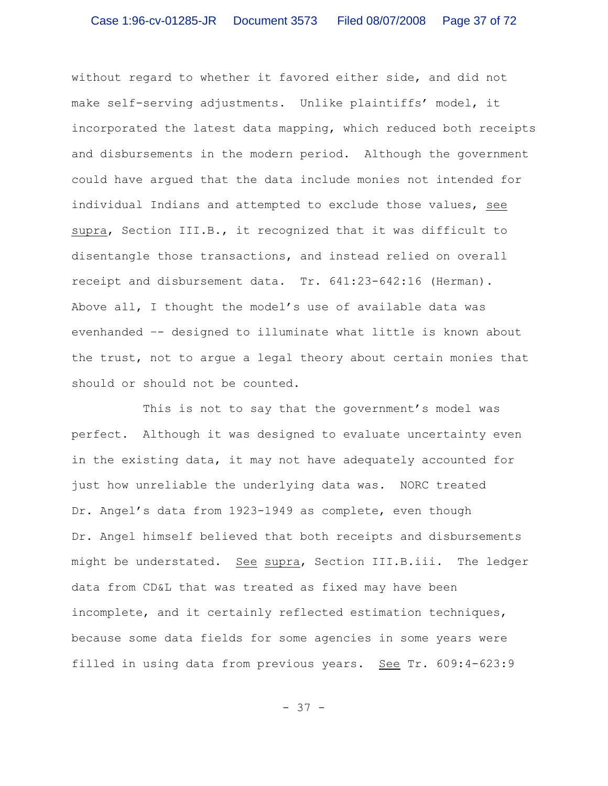without regard to whether it favored either side, and did not make self-serving adjustments. Unlike plaintiffs' model, it incorporated the latest data mapping, which reduced both receipts and disbursements in the modern period. Although the government could have argued that the data include monies not intended for individual Indians and attempted to exclude those values, see supra, Section III.B., it recognized that it was difficult to disentangle those transactions, and instead relied on overall receipt and disbursement data. Tr. 641:23-642:16 (Herman). Above all, I thought the model's use of available data was evenhanded –- designed to illuminate what little is known about the trust, not to argue a legal theory about certain monies that should or should not be counted.

This is not to say that the government's model was perfect. Although it was designed to evaluate uncertainty even in the existing data, it may not have adequately accounted for just how unreliable the underlying data was. NORC treated Dr. Angel's data from 1923-1949 as complete, even though Dr. Angel himself believed that both receipts and disbursements might be understated. See supra, Section III.B.iii. The ledger data from CD&L that was treated as fixed may have been incomplete, and it certainly reflected estimation techniques, because some data fields for some agencies in some years were filled in using data from previous years. See Tr. 609:4-623:9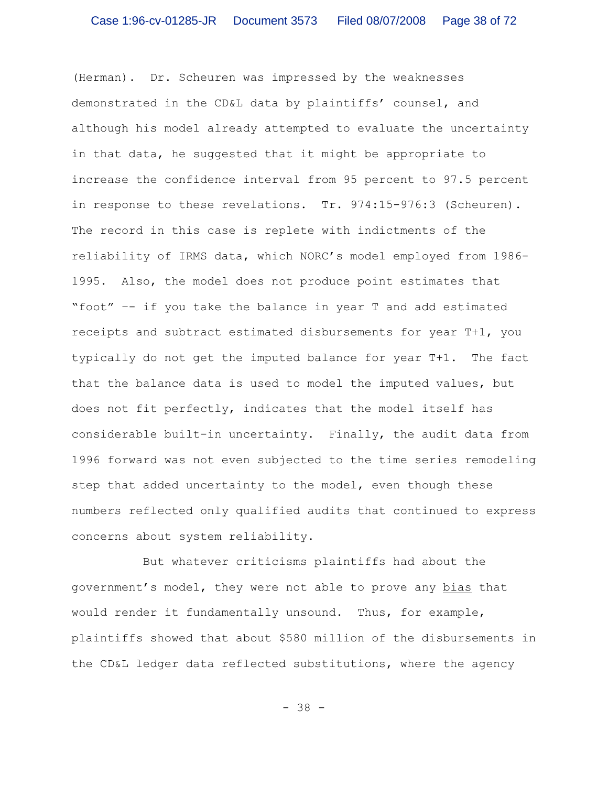(Herman). Dr. Scheuren was impressed by the weaknesses demonstrated in the CD&L data by plaintiffs' counsel, and although his model already attempted to evaluate the uncertainty in that data, he suggested that it might be appropriate to increase the confidence interval from 95 percent to 97.5 percent in response to these revelations. Tr. 974:15-976:3 (Scheuren). The record in this case is replete with indictments of the reliability of IRMS data, which NORC's model employed from 1986- 1995. Also, the model does not produce point estimates that "foot" –- if you take the balance in year T and add estimated receipts and subtract estimated disbursements for year T+1, you typically do not get the imputed balance for year T+1. The fact that the balance data is used to model the imputed values, but does not fit perfectly, indicates that the model itself has considerable built-in uncertainty. Finally, the audit data from 1996 forward was not even subjected to the time series remodeling step that added uncertainty to the model, even though these numbers reflected only qualified audits that continued to express concerns about system reliability.

But whatever criticisms plaintiffs had about the government's model, they were not able to prove any bias that would render it fundamentally unsound. Thus, for example, plaintiffs showed that about \$580 million of the disbursements in the CD&L ledger data reflected substitutions, where the agency

- 38 -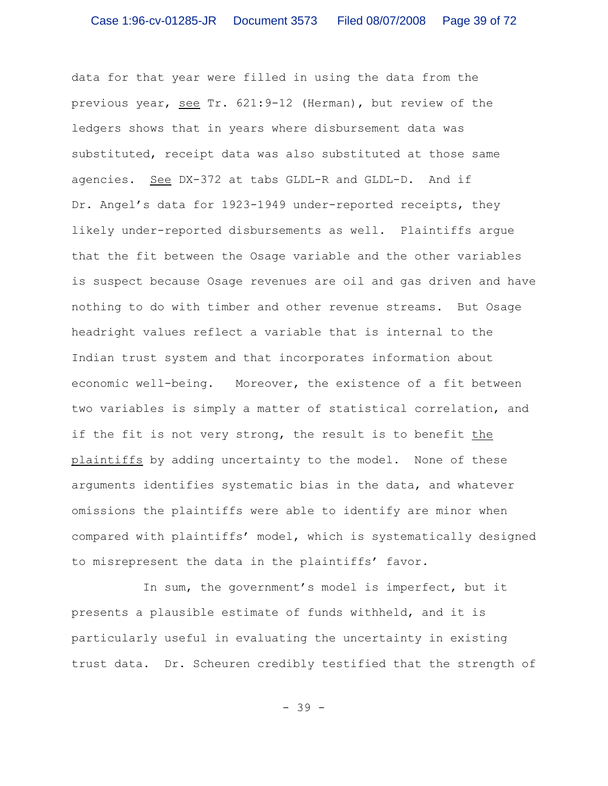data for that year were filled in using the data from the previous year, see Tr. 621:9-12 (Herman), but review of the ledgers shows that in years where disbursement data was substituted, receipt data was also substituted at those same agencies. See DX-372 at tabs GLDL-R and GLDL-D. And if Dr. Angel's data for 1923-1949 under-reported receipts, they likely under-reported disbursements as well. Plaintiffs argue that the fit between the Osage variable and the other variables is suspect because Osage revenues are oil and gas driven and have nothing to do with timber and other revenue streams. But Osage headright values reflect a variable that is internal to the Indian trust system and that incorporates information about economic well-being. Moreover, the existence of a fit between two variables is simply a matter of statistical correlation, and if the fit is not very strong, the result is to benefit the plaintiffs by adding uncertainty to the model. None of these arguments identifies systematic bias in the data, and whatever omissions the plaintiffs were able to identify are minor when compared with plaintiffs' model, which is systematically designed to misrepresent the data in the plaintiffs' favor.

In sum, the government's model is imperfect, but it presents a plausible estimate of funds withheld, and it is particularly useful in evaluating the uncertainty in existing trust data. Dr. Scheuren credibly testified that the strength of

- 39 -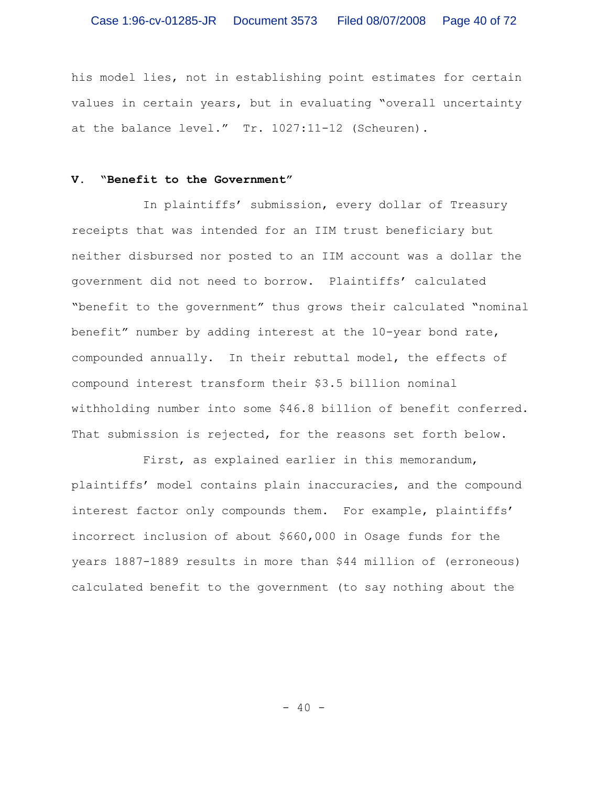his model lies, not in establishing point estimates for certain values in certain years, but in evaluating "overall uncertainty at the balance level." Tr. 1027:11-12 (Scheuren).

# **V. "Benefit to the Government"**

In plaintiffs' submission, every dollar of Treasury receipts that was intended for an IIM trust beneficiary but neither disbursed nor posted to an IIM account was a dollar the government did not need to borrow. Plaintiffs' calculated "benefit to the government" thus grows their calculated "nominal benefit" number by adding interest at the 10-year bond rate, compounded annually. In their rebuttal model, the effects of compound interest transform their \$3.5 billion nominal withholding number into some \$46.8 billion of benefit conferred. That submission is rejected, for the reasons set forth below.

First, as explained earlier in this memorandum, plaintiffs' model contains plain inaccuracies, and the compound interest factor only compounds them. For example, plaintiffs' incorrect inclusion of about \$660,000 in Osage funds for the years 1887-1889 results in more than \$44 million of (erroneous) calculated benefit to the government (to say nothing about the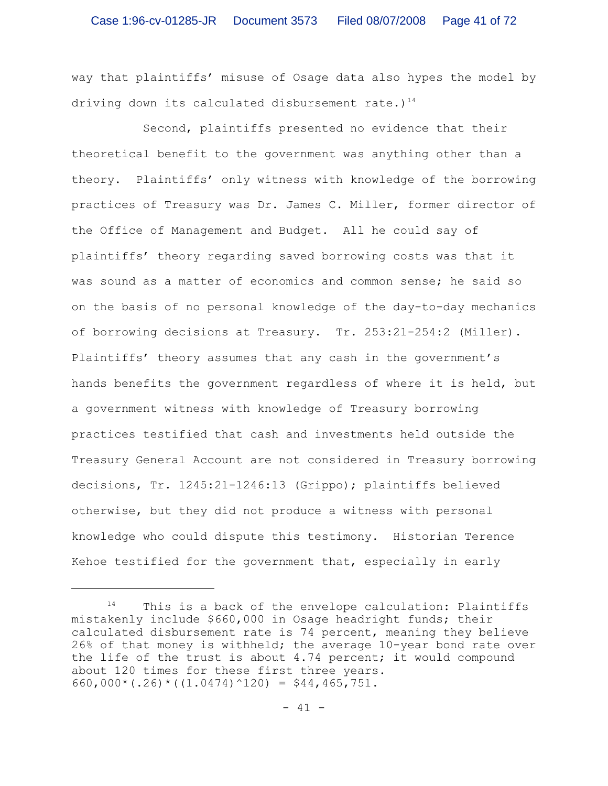way that plaintiffs' misuse of Osage data also hypes the model by driving down its calculated disbursement rate.)<sup>14</sup>

Second, plaintiffs presented no evidence that their theoretical benefit to the government was anything other than a theory. Plaintiffs' only witness with knowledge of the borrowing practices of Treasury was Dr. James C. Miller, former director of the Office of Management and Budget. All he could say of plaintiffs' theory regarding saved borrowing costs was that it was sound as a matter of economics and common sense; he said so on the basis of no personal knowledge of the day-to-day mechanics of borrowing decisions at Treasury. Tr. 253:21-254:2 (Miller). Plaintiffs' theory assumes that any cash in the government's hands benefits the government regardless of where it is held, but a government witness with knowledge of Treasury borrowing practices testified that cash and investments held outside the Treasury General Account are not considered in Treasury borrowing decisions, Tr. 1245:21-1246:13 (Grippo); plaintiffs believed otherwise, but they did not produce a witness with personal knowledge who could dispute this testimony. Historian Terence Kehoe testified for the government that, especially in early

 $14$  This is a back of the envelope calculation: Plaintiffs mistakenly include \$660,000 in Osage headright funds; their calculated disbursement rate is 74 percent, meaning they believe 26% of that money is withheld; the average 10-year bond rate over the life of the trust is about 4.74 percent; it would compound about 120 times for these first three years. 660,000\*(.26)\*( $(1.0474)$ ^120) = \$44,465,751.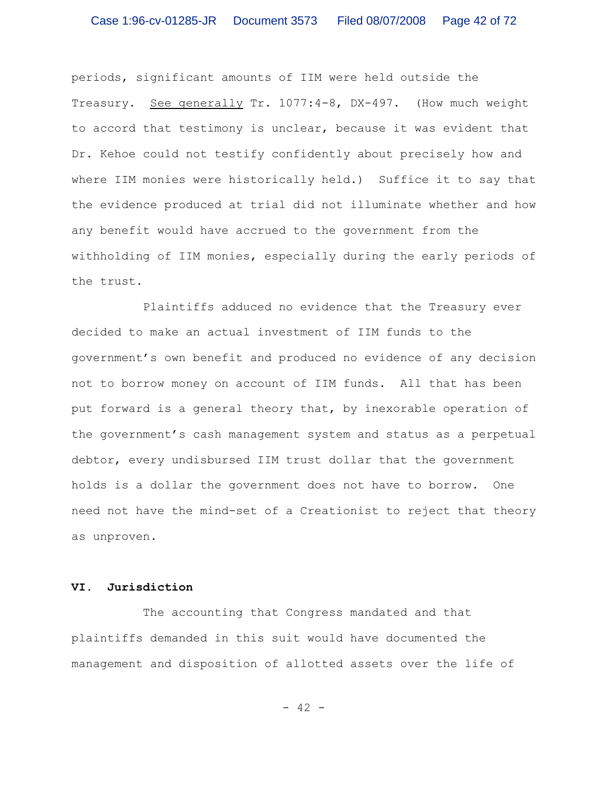periods, significant amounts of IIM were held outside the Treasury. See generally Tr. 1077:4-8, DX-497. (How much weight to accord that testimony is unclear, because it was evident that Dr. Kehoe could not testify confidently about precisely how and where IIM monies were historically held.) Suffice it to say that the evidence produced at trial did not illuminate whether and how any benefit would have accrued to the government from the withholding of IIM monies, especially during the early periods of the trust.

Plaintiffs adduced no evidence that the Treasury ever decided to make an actual investment of IIM funds to the government's own benefit and produced no evidence of any decision not to borrow money on account of IIM funds. All that has been put forward is a general theory that, by inexorable operation of the government's cash management system and status as a perpetual debtor, every undisbursed IIM trust dollar that the government holds is a dollar the government does not have to borrow. One need not have the mind-set of a Creationist to reject that theory as unproven.

# **VI. Jurisdiction**

The accounting that Congress mandated and that plaintiffs demanded in this suit would have documented the management and disposition of allotted assets over the life of

- 42 -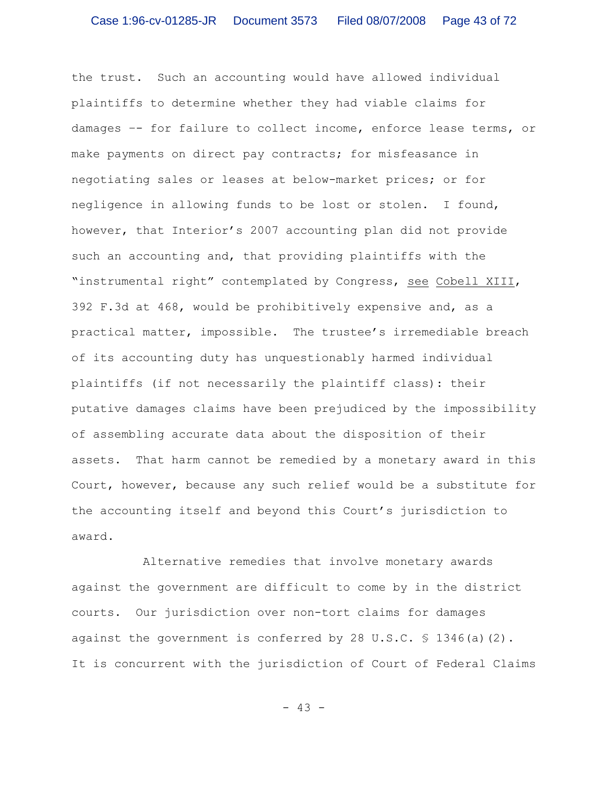the trust. Such an accounting would have allowed individual plaintiffs to determine whether they had viable claims for damages –- for failure to collect income, enforce lease terms, or make payments on direct pay contracts; for misfeasance in negotiating sales or leases at below-market prices; or for negligence in allowing funds to be lost or stolen. I found, however, that Interior's 2007 accounting plan did not provide such an accounting and, that providing plaintiffs with the "instrumental right" contemplated by Congress, see Cobell XIII, 392 F.3d at 468, would be prohibitively expensive and, as a practical matter, impossible. The trustee's irremediable breach of its accounting duty has unquestionably harmed individual plaintiffs (if not necessarily the plaintiff class): their putative damages claims have been prejudiced by the impossibility of assembling accurate data about the disposition of their assets. That harm cannot be remedied by a monetary award in this Court, however, because any such relief would be a substitute for the accounting itself and beyond this Court's jurisdiction to award.

Alternative remedies that involve monetary awards against the government are difficult to come by in the district courts. Our jurisdiction over non-tort claims for damages against the government is conferred by 28 U.S.C. § 1346(a)(2). It is concurrent with the jurisdiction of Court of Federal Claims

- 43 -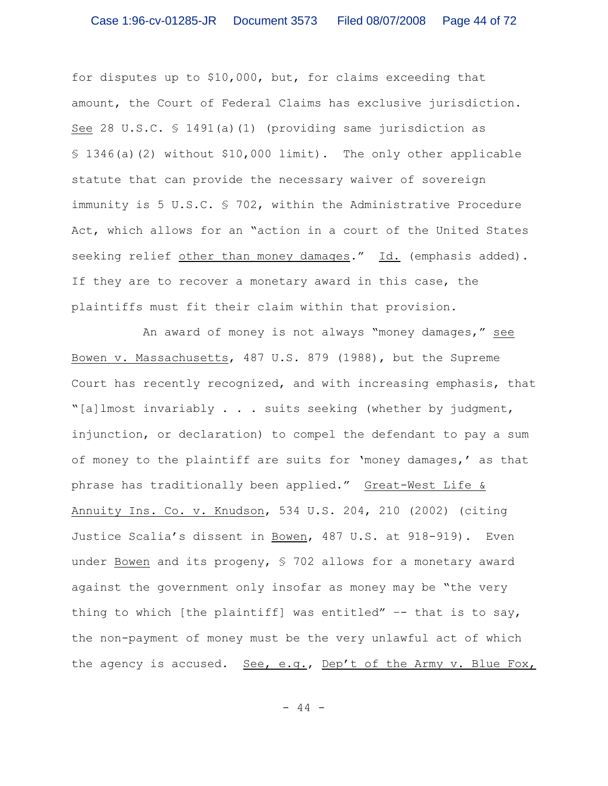for disputes up to \$10,000, but, for claims exceeding that amount, the Court of Federal Claims has exclusive jurisdiction. See 28 U.S.C.  $\frac{1491}{a}$  (1) (providing same jurisdiction as § 1346(a)(2) without \$10,000 limit). The only other applicable statute that can provide the necessary waiver of sovereign immunity is 5 U.S.C. § 702, within the Administrative Procedure Act, which allows for an "action in a court of the United States seeking relief other than money damages." Id. (emphasis added). If they are to recover a monetary award in this case, the plaintiffs must fit their claim within that provision.

An award of money is not always "money damages," see Bowen v. Massachusetts, 487 U.S. 879 (1988), but the Supreme Court has recently recognized, and with increasing emphasis, that "[a]lmost invariably . . . suits seeking (whether by judgment, injunction, or declaration) to compel the defendant to pay a sum of money to the plaintiff are suits for 'money damages,' as that phrase has traditionally been applied." Great-West Life & Annuity Ins. Co. v. Knudson, 534 U.S. 204, 210 (2002) (citing Justice Scalia's dissent in Bowen, 487 U.S. at 918-919). Even under Bowen and its progeny, § 702 allows for a monetary award against the government only insofar as money may be "the very thing to which [the plaintiff] was entitled"  $-$  that is to say, the non-payment of money must be the very unlawful act of which the agency is accused. See, e.g., Dep't of the Army v. Blue Fox,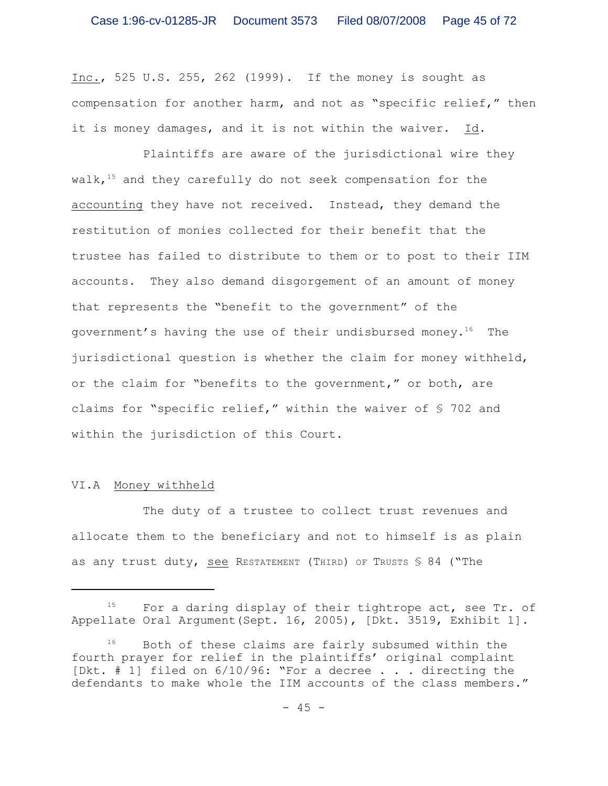Inc., 525 U.S. 255, 262 (1999). If the money is sought as compensation for another harm, and not as "specific relief," then it is money damages, and it is not within the waiver. Id.

Plaintiffs are aware of the jurisdictional wire they walk,  $15$  and they carefully do not seek compensation for the accounting they have not received. Instead, they demand the restitution of monies collected for their benefit that the trustee has failed to distribute to them or to post to their IIM accounts. They also demand disgorgement of an amount of money that represents the "benefit to the government" of the government's having the use of their undisbursed money.<sup>16</sup> The jurisdictional question is whether the claim for money withheld, or the claim for "benefits to the government," or both, are claims for "specific relief," within the waiver of § 702 and within the jurisdiction of this Court.

# VI.A Money withheld

The duty of a trustee to collect trust revenues and allocate them to the beneficiary and not to himself is as plain as any trust duty, see RESTATEMENT (THIRD) OF TRUSTS  $$84$  ("The

 $^{15}$  For a daring display of their tightrope act, see Tr. of Appellate Oral Argument(Sept. 16, 2005), [Dkt. 3519, Exhibit 1].

 $16$  Both of these claims are fairly subsumed within the fourth prayer for relief in the plaintiffs' original complaint [Dkt. # 1] filed on 6/10/96: "For a decree . . . directing the defendants to make whole the IIM accounts of the class members."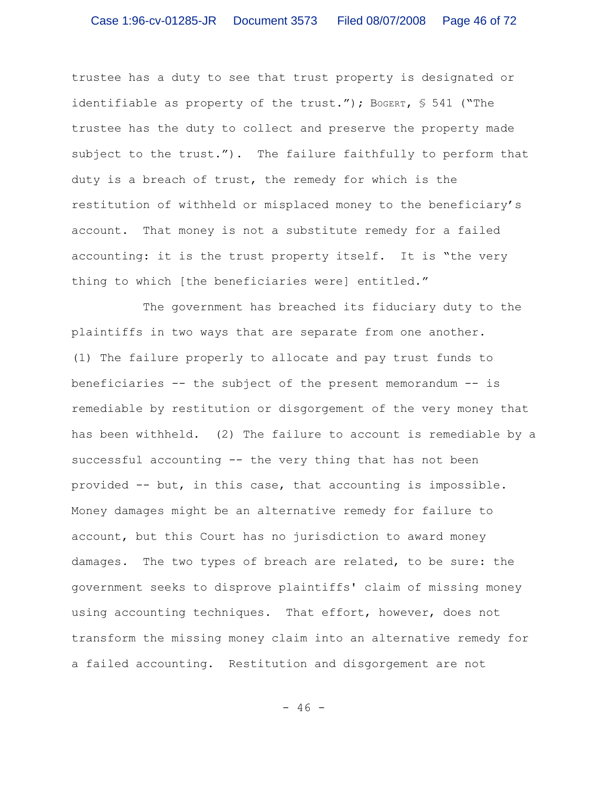trustee has a duty to see that trust property is designated or identifiable as property of the trust."); BOGERT,  $$541$  ("The trustee has the duty to collect and preserve the property made subject to the trust."). The failure faithfully to perform that duty is a breach of trust, the remedy for which is the restitution of withheld or misplaced money to the beneficiary's account. That money is not a substitute remedy for a failed accounting: it is the trust property itself. It is "the very thing to which [the beneficiaries were] entitled."

The government has breached its fiduciary duty to the plaintiffs in two ways that are separate from one another. (1) The failure properly to allocate and pay trust funds to beneficiaries -- the subject of the present memorandum -- is remediable by restitution or disgorgement of the very money that has been withheld. (2) The failure to account is remediable by a successful accounting -- the very thing that has not been provided -- but, in this case, that accounting is impossible. Money damages might be an alternative remedy for failure to account, but this Court has no jurisdiction to award money damages. The two types of breach are related, to be sure: the government seeks to disprove plaintiffs' claim of missing money using accounting techniques. That effort, however, does not transform the missing money claim into an alternative remedy for a failed accounting. Restitution and disgorgement are not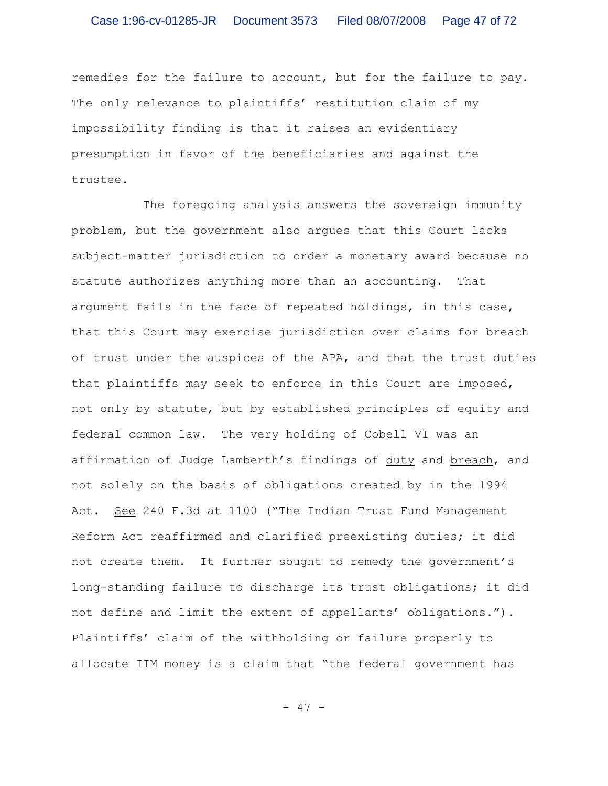remedies for the failure to account, but for the failure to pay. The only relevance to plaintiffs' restitution claim of my impossibility finding is that it raises an evidentiary presumption in favor of the beneficiaries and against the trustee.

The foregoing analysis answers the sovereign immunity problem, but the government also argues that this Court lacks subject-matter jurisdiction to order a monetary award because no statute authorizes anything more than an accounting. That argument fails in the face of repeated holdings, in this case, that this Court may exercise jurisdiction over claims for breach of trust under the auspices of the APA, and that the trust duties that plaintiffs may seek to enforce in this Court are imposed, not only by statute, but by established principles of equity and federal common law. The very holding of Cobell VI was an affirmation of Judge Lamberth's findings of duty and breach, and not solely on the basis of obligations created by in the 1994 Act. See 240 F.3d at 1100 ("The Indian Trust Fund Management Reform Act reaffirmed and clarified preexisting duties; it did not create them. It further sought to remedy the government's long-standing failure to discharge its trust obligations; it did not define and limit the extent of appellants' obligations."). Plaintiffs' claim of the withholding or failure properly to allocate IIM money is a claim that "the federal government has

- 47 -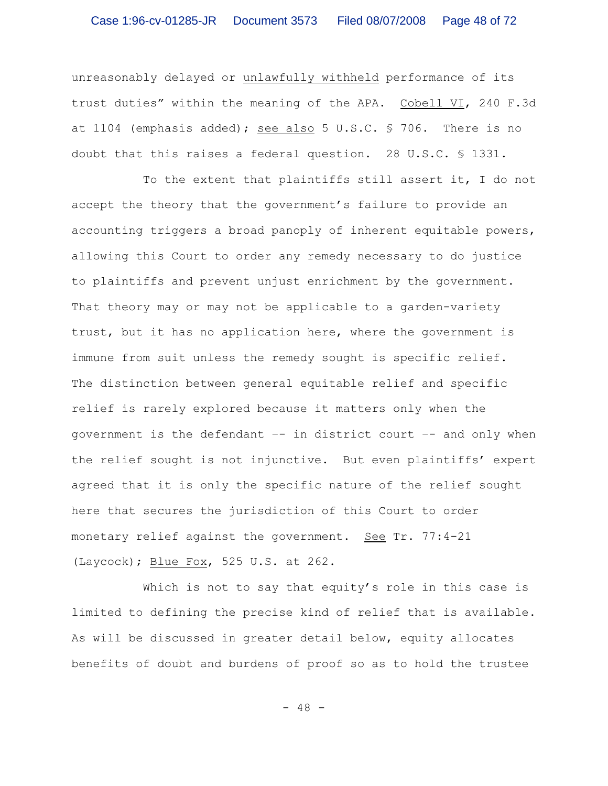unreasonably delayed or unlawfully withheld performance of its trust duties" within the meaning of the APA. Cobell VI, 240 F.3d at 1104 (emphasis added); see also 5 U.S.C.  $\frac{6}{5}$  706. There is no doubt that this raises a federal question. 28 U.S.C. § 1331.

To the extent that plaintiffs still assert it, I do not accept the theory that the government's failure to provide an accounting triggers a broad panoply of inherent equitable powers, allowing this Court to order any remedy necessary to do justice to plaintiffs and prevent unjust enrichment by the government. That theory may or may not be applicable to a garden-variety trust, but it has no application here, where the government is immune from suit unless the remedy sought is specific relief. The distinction between general equitable relief and specific relief is rarely explored because it matters only when the government is the defendant –- in district court –- and only when the relief sought is not injunctive. But even plaintiffs' expert agreed that it is only the specific nature of the relief sought here that secures the jurisdiction of this Court to order monetary relief against the government. See Tr. 77:4-21 (Laycock); Blue Fox, 525 U.S. at 262.

Which is not to say that equity's role in this case is limited to defining the precise kind of relief that is available. As will be discussed in greater detail below, equity allocates benefits of doubt and burdens of proof so as to hold the trustee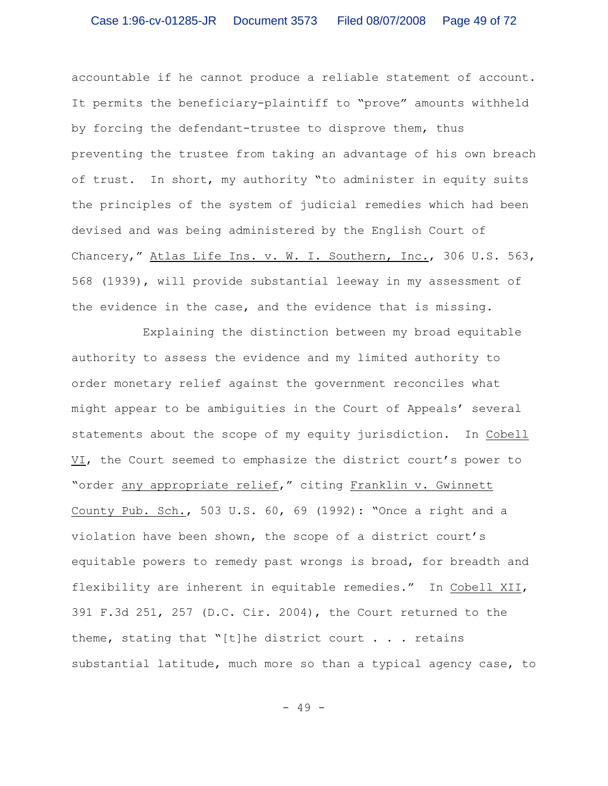accountable if he cannot produce a reliable statement of account. It permits the beneficiary-plaintiff to "prove" amounts withheld by forcing the defendant-trustee to disprove them, thus preventing the trustee from taking an advantage of his own breach of trust. In short, my authority "to administer in equity suits the principles of the system of judicial remedies which had been devised and was being administered by the English Court of Chancery," Atlas Life Ins. v. W. I. Southern, Inc., 306 U.S. 563, 568 (1939), will provide substantial leeway in my assessment of the evidence in the case, and the evidence that is missing.

Explaining the distinction between my broad equitable authority to assess the evidence and my limited authority to order monetary relief against the government reconciles what might appear to be ambiguities in the Court of Appeals' several statements about the scope of my equity jurisdiction. In Cobell VI, the Court seemed to emphasize the district court's power to "order any appropriate relief," citing Franklin v. Gwinnett County Pub. Sch., 503 U.S. 60, 69 (1992): "Once a right and a violation have been shown, the scope of a district court's equitable powers to remedy past wrongs is broad, for breadth and flexibility are inherent in equitable remedies." In Cobell XII, 391 F.3d 251, 257 (D.C. Cir. 2004), the Court returned to the theme, stating that "[t]he district court . . . retains substantial latitude, much more so than a typical agency case, to

- 49 -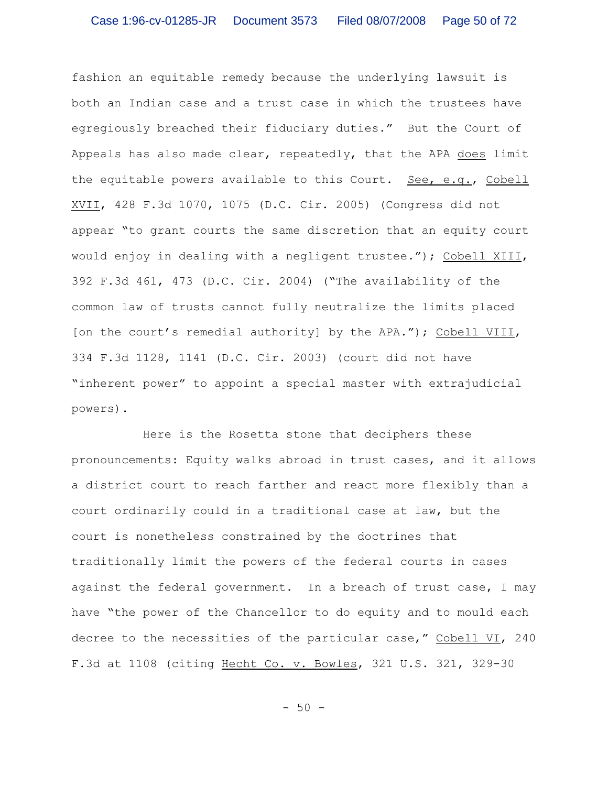fashion an equitable remedy because the underlying lawsuit is both an Indian case and a trust case in which the trustees have egregiously breached their fiduciary duties." But the Court of Appeals has also made clear, repeatedly, that the APA does limit the equitable powers available to this Court. See, e.g., Cobell XVII, 428 F.3d 1070, 1075 (D.C. Cir. 2005) (Congress did not appear "to grant courts the same discretion that an equity court would enjoy in dealing with a negligent trustee."); Cobell XIII, 392 F.3d 461, 473 (D.C. Cir. 2004) ("The availability of the common law of trusts cannot fully neutralize the limits placed [on the court's remedial authority] by the APA."); Cobell VIII, 334 F.3d 1128, 1141 (D.C. Cir. 2003) (court did not have "inherent power" to appoint a special master with extrajudicial powers).

Here is the Rosetta stone that deciphers these pronouncements: Equity walks abroad in trust cases, and it allows a district court to reach farther and react more flexibly than a court ordinarily could in a traditional case at law, but the court is nonetheless constrained by the doctrines that traditionally limit the powers of the federal courts in cases against the federal government. In a breach of trust case, I may have "the power of the Chancellor to do equity and to mould each decree to the necessities of the particular case," Cobell VI, 240 F.3d at 1108 (citing Hecht Co. v. Bowles, 321 U.S. 321, 329-30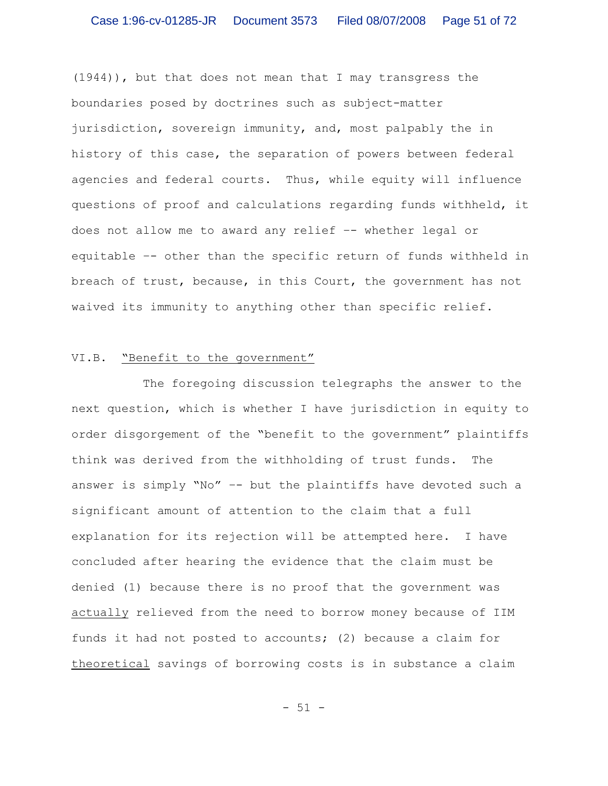(1944)), but that does not mean that I may transgress the boundaries posed by doctrines such as subject-matter jurisdiction, sovereign immunity, and, most palpably the in history of this case, the separation of powers between federal agencies and federal courts. Thus, while equity will influence questions of proof and calculations regarding funds withheld, it does not allow me to award any relief –- whether legal or equitable –- other than the specific return of funds withheld in breach of trust, because, in this Court, the government has not waived its immunity to anything other than specific relief.

# VI.B. "Benefit to the government"

The foregoing discussion telegraphs the answer to the next question, which is whether I have jurisdiction in equity to order disgorgement of the "benefit to the government" plaintiffs think was derived from the withholding of trust funds. The answer is simply "No" –- but the plaintiffs have devoted such a significant amount of attention to the claim that a full explanation for its rejection will be attempted here. I have concluded after hearing the evidence that the claim must be denied (1) because there is no proof that the government was actually relieved from the need to borrow money because of IIM funds it had not posted to accounts; (2) because a claim for theoretical savings of borrowing costs is in substance a claim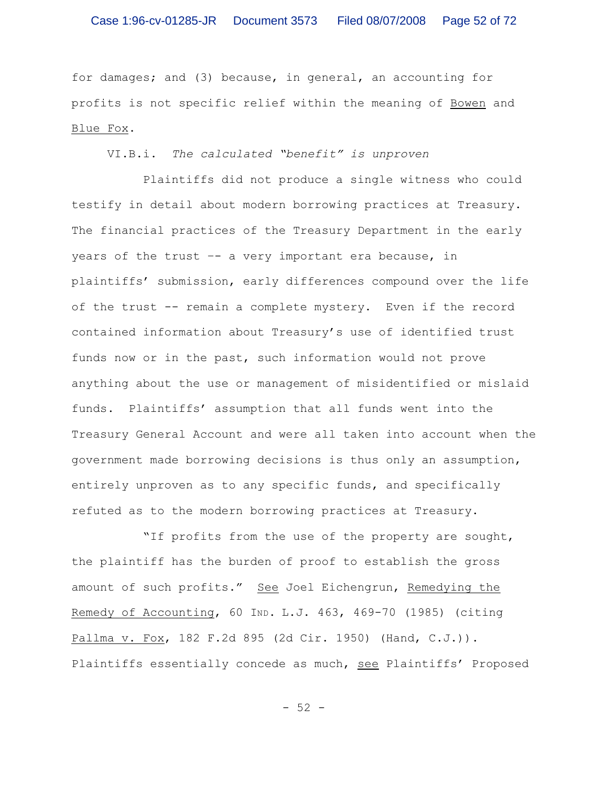for damages; and (3) because, in general, an accounting for profits is not specific relief within the meaning of Bowen and Blue Fox.

VI.B.i. *The calculated "benefit" is unproven*

Plaintiffs did not produce a single witness who could testify in detail about modern borrowing practices at Treasury. The financial practices of the Treasury Department in the early years of the trust –- a very important era because, in plaintiffs' submission, early differences compound over the life of the trust -- remain a complete mystery. Even if the record contained information about Treasury's use of identified trust funds now or in the past, such information would not prove anything about the use or management of misidentified or mislaid funds. Plaintiffs' assumption that all funds went into the Treasury General Account and were all taken into account when the government made borrowing decisions is thus only an assumption, entirely unproven as to any specific funds, and specifically refuted as to the modern borrowing practices at Treasury.

"If profits from the use of the property are sought, the plaintiff has the burden of proof to establish the gross amount of such profits." See Joel Eichengrun, Remedying the Remedy of Accounting, 60 IND. L.J. 463, 469-70 (1985) (citing Pallma v. Fox, 182 F.2d 895 (2d Cir. 1950) (Hand, C.J.)). Plaintiffs essentially concede as much, see Plaintiffs' Proposed

- 52 -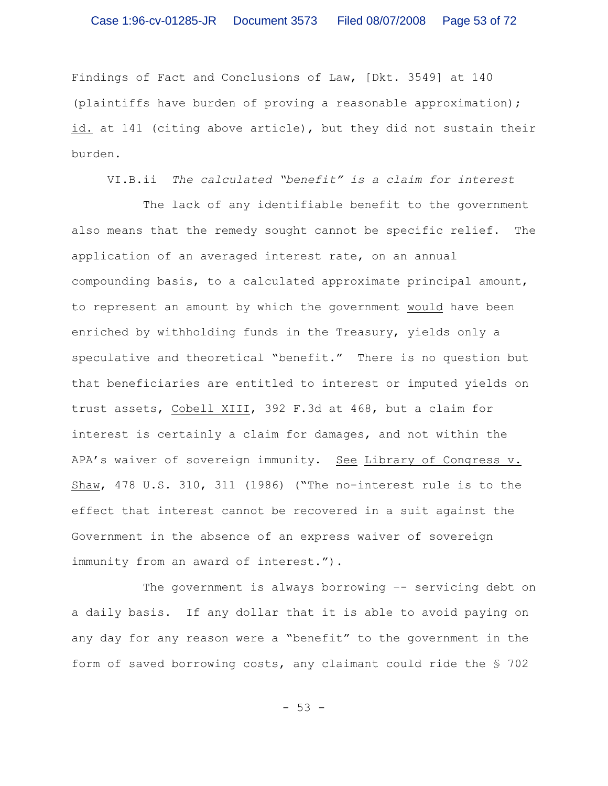Findings of Fact and Conclusions of Law, [Dkt. 3549] at 140 (plaintiffs have burden of proving a reasonable approximation); id. at 141 (citing above article), but they did not sustain their burden.

VI.B.ii *The calculated "benefit" is a claim for interest*

The lack of any identifiable benefit to the government also means that the remedy sought cannot be specific relief. The application of an averaged interest rate, on an annual compounding basis, to a calculated approximate principal amount, to represent an amount by which the government would have been enriched by withholding funds in the Treasury, yields only a speculative and theoretical "benefit." There is no question but that beneficiaries are entitled to interest or imputed yields on trust assets, Cobell XIII, 392 F.3d at 468, but a claim for interest is certainly a claim for damages, and not within the APA's waiver of sovereign immunity. See Library of Congress v. Shaw, 478 U.S. 310, 311 (1986) ("The no-interest rule is to the effect that interest cannot be recovered in a suit against the Government in the absence of an express waiver of sovereign immunity from an award of interest.").

The government is always borrowing -- servicing debt on a daily basis. If any dollar that it is able to avoid paying on any day for any reason were a "benefit" to the government in the form of saved borrowing costs, any claimant could ride the § 702

- 53 -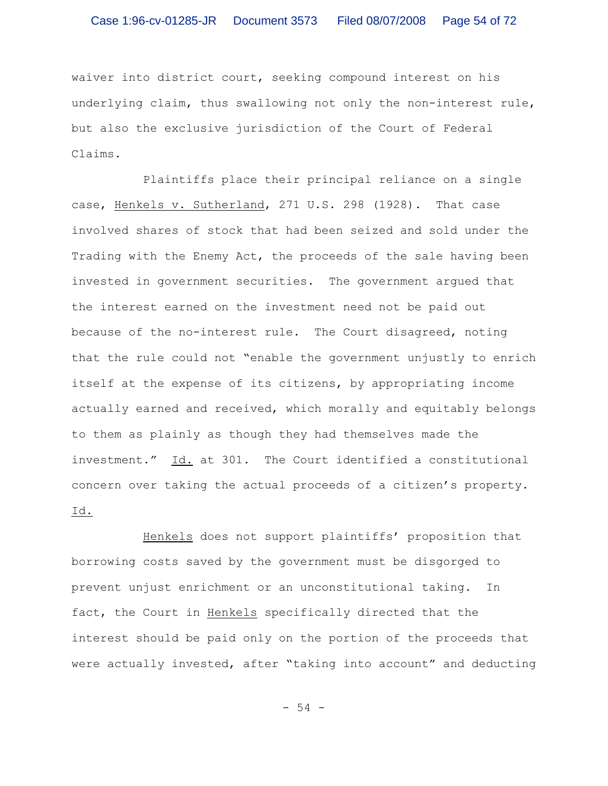waiver into district court, seeking compound interest on his underlying claim, thus swallowing not only the non-interest rule, but also the exclusive jurisdiction of the Court of Federal Claims.

Plaintiffs place their principal reliance on a single case, Henkels v. Sutherland, 271 U.S. 298 (1928). That case involved shares of stock that had been seized and sold under the Trading with the Enemy Act, the proceeds of the sale having been invested in government securities. The government argued that the interest earned on the investment need not be paid out because of the no-interest rule. The Court disagreed, noting that the rule could not "enable the government unjustly to enrich itself at the expense of its citizens, by appropriating income actually earned and received, which morally and equitably belongs to them as plainly as though they had themselves made the investment." Id. at 301. The Court identified a constitutional concern over taking the actual proceeds of a citizen's property. Id.

Henkels does not support plaintiffs' proposition that borrowing costs saved by the government must be disgorged to prevent unjust enrichment or an unconstitutional taking. In fact, the Court in Henkels specifically directed that the interest should be paid only on the portion of the proceeds that were actually invested, after "taking into account" and deducting

- 54 -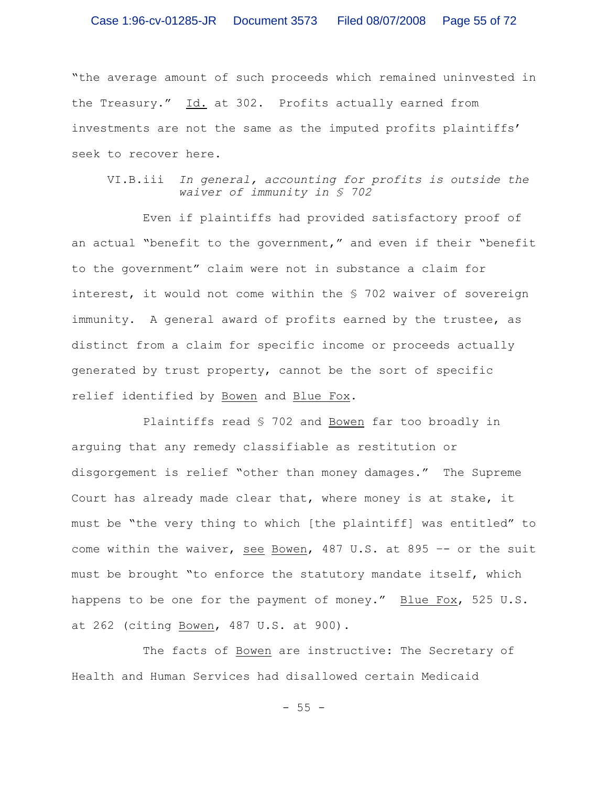"the average amount of such proceeds which remained uninvested in the Treasury." Id. at 302. Profits actually earned from investments are not the same as the imputed profits plaintiffs' seek to recover here.

VI.B.iii *In general, accounting for profits is outside the waiver of immunity in § 702*

Even if plaintiffs had provided satisfactory proof of an actual "benefit to the government," and even if their "benefit to the government" claim were not in substance a claim for interest, it would not come within the § 702 waiver of sovereign immunity. A general award of profits earned by the trustee, as distinct from a claim for specific income or proceeds actually generated by trust property, cannot be the sort of specific relief identified by Bowen and Blue Fox.

Plaintiffs read § 702 and Bowen far too broadly in arguing that any remedy classifiable as restitution or disgorgement is relief "other than money damages." The Supreme Court has already made clear that, where money is at stake, it must be "the very thing to which [the plaintiff] was entitled" to come within the waiver, see Bowen, 487 U.S. at 895 –- or the suit must be brought "to enforce the statutory mandate itself, which happens to be one for the payment of money." Blue Fox, 525 U.S. at 262 (citing Bowen, 487 U.S. at 900).

The facts of Bowen are instructive: The Secretary of Health and Human Services had disallowed certain Medicaid

 $-55 -$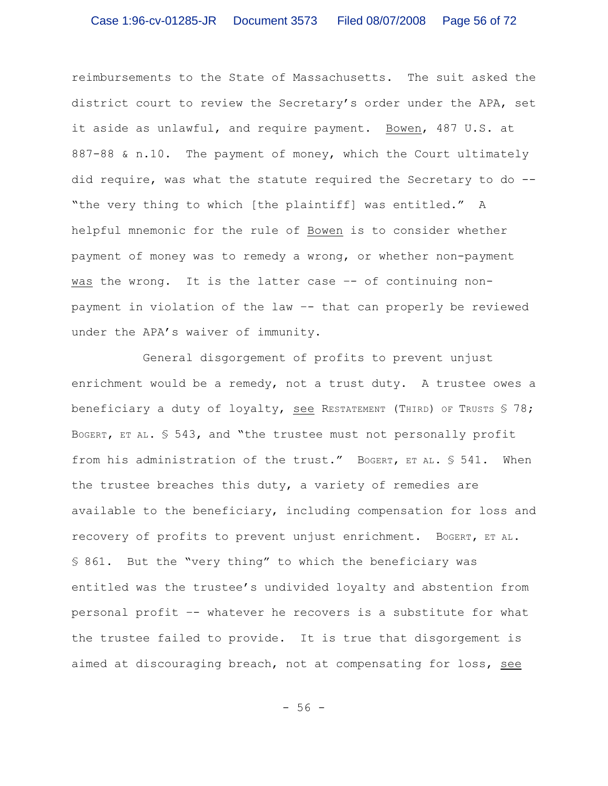reimbursements to the State of Massachusetts. The suit asked the district court to review the Secretary's order under the APA, set it aside as unlawful, and require payment. Bowen, 487 U.S. at 887-88 & n.10. The payment of money, which the Court ultimately did require, was what the statute required the Secretary to do -- "the very thing to which [the plaintiff] was entitled." A helpful mnemonic for the rule of Bowen is to consider whether payment of money was to remedy a wrong, or whether non-payment was the wrong. It is the latter case -- of continuing nonpayment in violation of the law –- that can properly be reviewed under the APA's waiver of immunity.

General disgorgement of profits to prevent unjust enrichment would be a remedy, not a trust duty. A trustee owes a beneficiary a duty of loyalty, see RESTATEMENT (THIRD) OF TRUSTS  $$78;$ BOGERT, ET AL. § 543, and "the trustee must not personally profit from his administration of the trust." BogERT, ET AL. \$ 541. When the trustee breaches this duty, a variety of remedies are available to the beneficiary, including compensation for loss and recovery of profits to prevent unjust enrichment. BoGERT, ET AL. § 861. But the "very thing" to which the beneficiary was entitled was the trustee's undivided loyalty and abstention from personal profit –- whatever he recovers is a substitute for what the trustee failed to provide. It is true that disgorgement is aimed at discouraging breach, not at compensating for loss, see

- 56 -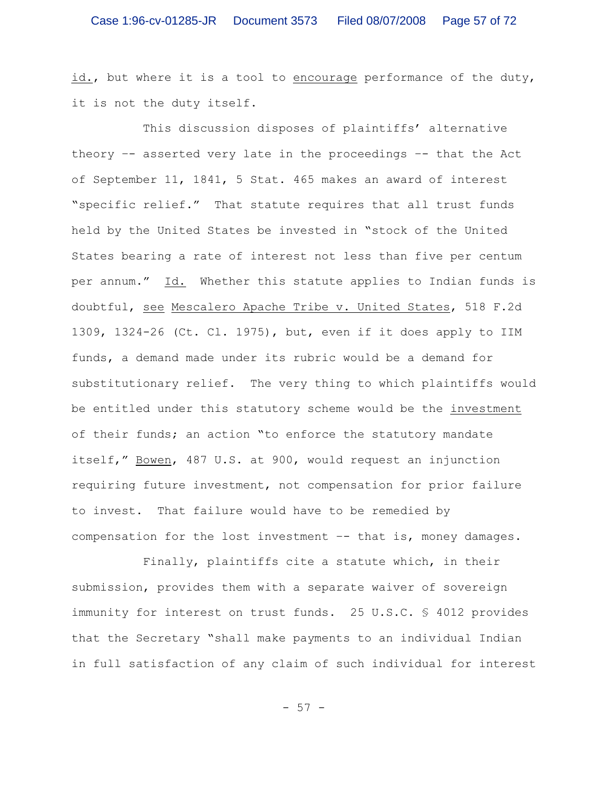id., but where it is a tool to encourage performance of the duty, it is not the duty itself.

This discussion disposes of plaintiffs' alternative theory –- asserted very late in the proceedings –- that the Act of September 11, 1841, 5 Stat. 465 makes an award of interest "specific relief." That statute requires that all trust funds held by the United States be invested in "stock of the United States bearing a rate of interest not less than five per centum per annum." Id. Whether this statute applies to Indian funds is doubtful, see Mescalero Apache Tribe v. United States, 518 F.2d 1309, 1324-26 (Ct. Cl. 1975), but, even if it does apply to IIM funds, a demand made under its rubric would be a demand for substitutionary relief. The very thing to which plaintiffs would be entitled under this statutory scheme would be the investment of their funds; an action "to enforce the statutory mandate itself," Bowen, 487 U.S. at 900, would request an injunction requiring future investment, not compensation for prior failure to invest. That failure would have to be remedied by compensation for the lost investment –- that is, money damages.

Finally, plaintiffs cite a statute which, in their submission, provides them with a separate waiver of sovereign immunity for interest on trust funds. 25 U.S.C. § 4012 provides that the Secretary "shall make payments to an individual Indian in full satisfaction of any claim of such individual for interest

- 57 -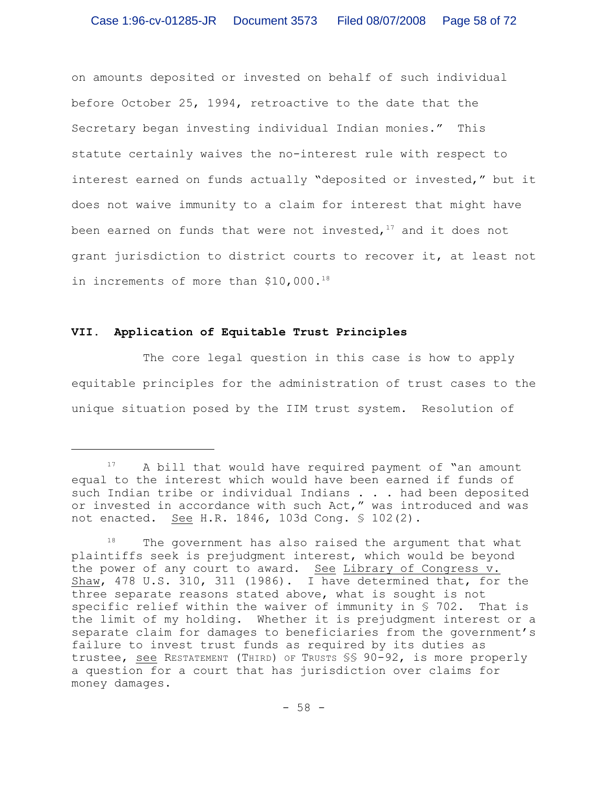on amounts deposited or invested on behalf of such individual before October 25, 1994, retroactive to the date that the Secretary began investing individual Indian monies." This statute certainly waives the no-interest rule with respect to interest earned on funds actually "deposited or invested," but it does not waive immunity to a claim for interest that might have been earned on funds that were not invested,  $17$  and it does not grant jurisdiction to district courts to recover it, at least not in increments of more than \$10,000.<sup>18</sup>

# **VII. Application of Equitable Trust Principles**

The core legal question in this case is how to apply equitable principles for the administration of trust cases to the unique situation posed by the IIM trust system. Resolution of

A bill that would have required payment of "an amount equal to the interest which would have been earned if funds of such Indian tribe or individual Indians . . . had been deposited or invested in accordance with such Act," was introduced and was not enacted. See H.R. 1846, 103d Cong. § 102(2).

 $18$  The government has also raised the argument that what plaintiffs seek is prejudgment interest, which would be beyond the power of any court to award. See Library of Congress v. Shaw, 478 U.S. 310, 311 (1986). I have determined that, for the three separate reasons stated above, what is sought is not specific relief within the waiver of immunity in § 702. That is the limit of my holding. Whether it is prejudgment interest or a separate claim for damages to beneficiaries from the government's failure to invest trust funds as required by its duties as trustee, see RESTATEMENT (THIRD) OF TRUSTS §§ 90-92, is more properly a question for a court that has jurisdiction over claims for money damages.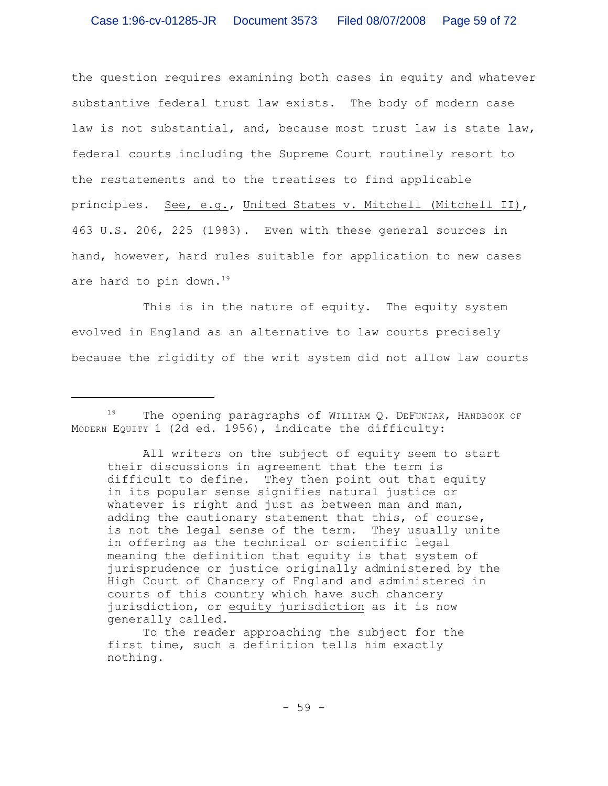the question requires examining both cases in equity and whatever substantive federal trust law exists. The body of modern case law is not substantial, and, because most trust law is state law, federal courts including the Supreme Court routinely resort to the restatements and to the treatises to find applicable principles. See, e.g., United States v. Mitchell (Mitchell II), 463 U.S. 206, 225 (1983). Even with these general sources in hand, however, hard rules suitable for application to new cases are hard to pin down.<sup>19</sup>

This is in the nature of equity. The equity system evolved in England as an alternative to law courts precisely because the rigidity of the writ system did not allow law courts

 $19$  The opening paragraphs of WILLIAM Q. DEFUNIAK, HANDBOOK OF MODERN EQUITY 1 (2d ed. 1956), indicate the difficulty:

All writers on the subject of equity seem to start their discussions in agreement that the term is difficult to define. They then point out that equity in its popular sense signifies natural justice or whatever is right and just as between man and man, adding the cautionary statement that this, of course, is not the legal sense of the term. They usually unite in offering as the technical or scientific legal meaning the definition that equity is that system of jurisprudence or justice originally administered by the High Court of Chancery of England and administered in courts of this country which have such chancery jurisdiction, or equity jurisdiction as it is now generally called.

To the reader approaching the subject for the first time, such a definition tells him exactly nothing.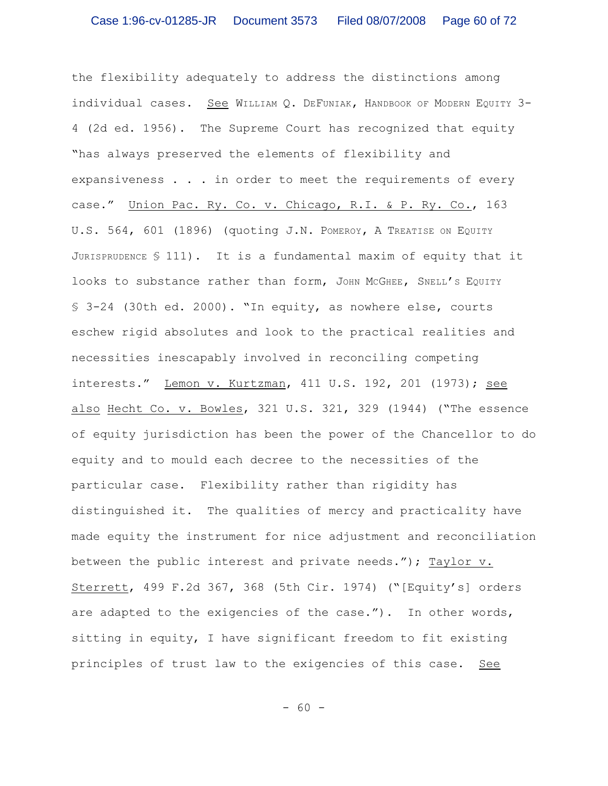the flexibility adequately to address the distinctions among individual cases. See WILLIAM Q. DEFUNIAK, HANDBOOK OF MODERN EQUITY 3-4 (2d ed. 1956). The Supreme Court has recognized that equity "has always preserved the elements of flexibility and expansiveness . . . in order to meet the requirements of every case." Union Pac. Ry. Co. v. Chicago, R.I. & P. Ry. Co., 163 U.S. 564, 601 (1896) (quoting J.N. POMEROY, A TREATISE ON EQUITY JURISPRUDENCE  $$ 111$ ). It is a fundamental maxim of equity that it looks to substance rather than form, JOHN MCGHEE, SNELL'S EQUITY § 3-24 (30th ed. 2000). "In equity, as nowhere else, courts eschew rigid absolutes and look to the practical realities and necessities inescapably involved in reconciling competing interests." Lemon v. Kurtzman, 411 U.S. 192, 201 (1973); see also Hecht Co. v. Bowles, 321 U.S. 321, 329 (1944) ("The essence of equity jurisdiction has been the power of the Chancellor to do equity and to mould each decree to the necessities of the particular case. Flexibility rather than rigidity has distinguished it. The qualities of mercy and practicality have made equity the instrument for nice adjustment and reconciliation between the public interest and private needs."); Taylor v. Sterrett, 499 F.2d 367, 368 (5th Cir. 1974) ("[Equity's] orders are adapted to the exigencies of the case."). In other words, sitting in equity, I have significant freedom to fit existing principles of trust law to the exigencies of this case. See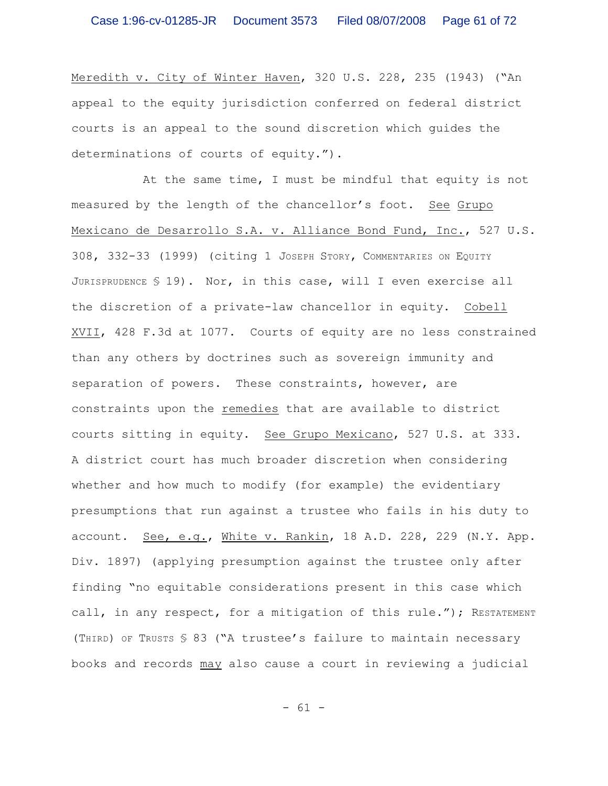Meredith v. City of Winter Haven, 320 U.S. 228, 235 (1943) ("An appeal to the equity jurisdiction conferred on federal district courts is an appeal to the sound discretion which guides the determinations of courts of equity.").

At the same time, I must be mindful that equity is not measured by the length of the chancellor's foot. See Grupo Mexicano de Desarrollo S.A. v. Alliance Bond Fund, Inc., 527 U.S. 308, 332-33 (1999) (citing 1 JOSEPH STORY, COMMENTARIES ON EQUITY JURISPRUDENCE § 19). Nor, in this case, will I even exercise all the discretion of a private-law chancellor in equity. Cobell XVII, 428 F.3d at 1077. Courts of equity are no less constrained than any others by doctrines such as sovereign immunity and separation of powers. These constraints, however, are constraints upon the remedies that are available to district courts sitting in equity. See Grupo Mexicano, 527 U.S. at 333. A district court has much broader discretion when considering whether and how much to modify (for example) the evidentiary presumptions that run against a trustee who fails in his duty to account. See, e.g., White v. Rankin, 18 A.D. 228, 229 (N.Y. App. Div. 1897) (applying presumption against the trustee only after finding "no equitable considerations present in this case which call, in any respect, for a mitigation of this rule."); RESTATEMENT (THIRD) OF TRUSTS § 83 ("A trustee's failure to maintain necessary books and records may also cause a court in reviewing a judicial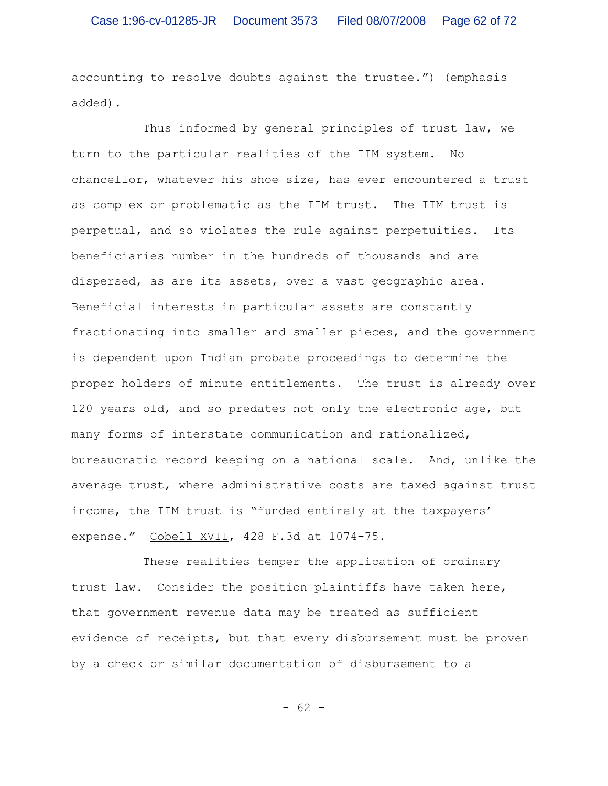accounting to resolve doubts against the trustee.") (emphasis added).

Thus informed by general principles of trust law, we turn to the particular realities of the IIM system. No chancellor, whatever his shoe size, has ever encountered a trust as complex or problematic as the IIM trust. The IIM trust is perpetual, and so violates the rule against perpetuities. Its beneficiaries number in the hundreds of thousands and are dispersed, as are its assets, over a vast geographic area. Beneficial interests in particular assets are constantly fractionating into smaller and smaller pieces, and the government is dependent upon Indian probate proceedings to determine the proper holders of minute entitlements. The trust is already over 120 years old, and so predates not only the electronic age, but many forms of interstate communication and rationalized, bureaucratic record keeping on a national scale. And, unlike the average trust, where administrative costs are taxed against trust income, the IIM trust is "funded entirely at the taxpayers' expense." Cobell XVII, 428 F.3d at 1074-75.

These realities temper the application of ordinary trust law. Consider the position plaintiffs have taken here, that government revenue data may be treated as sufficient evidence of receipts, but that every disbursement must be proven by a check or similar documentation of disbursement to a

- 62 -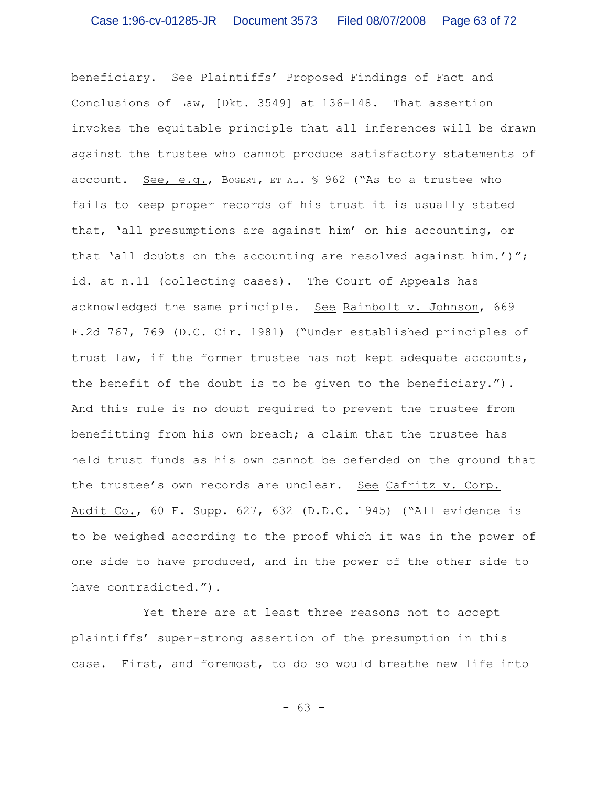beneficiary. See Plaintiffs' Proposed Findings of Fact and Conclusions of Law, [Dkt. 3549] at 136-148. That assertion invokes the equitable principle that all inferences will be drawn against the trustee who cannot produce satisfactory statements of account. See, e.g., BOGERT, ET AL. § 962 ("As to a trustee who fails to keep proper records of his trust it is usually stated that, 'all presumptions are against him' on his accounting, or that 'all doubts on the accounting are resolved against him.')"; id. at n.11 (collecting cases). The Court of Appeals has acknowledged the same principle. See Rainbolt v. Johnson, 669 F.2d 767, 769 (D.C. Cir. 1981) ("Under established principles of trust law, if the former trustee has not kept adequate accounts, the benefit of the doubt is to be given to the beneficiary."). And this rule is no doubt required to prevent the trustee from benefitting from his own breach; a claim that the trustee has held trust funds as his own cannot be defended on the ground that the trustee's own records are unclear. See Cafritz v. Corp. Audit Co., 60 F. Supp. 627, 632 (D.D.C. 1945) ("All evidence is to be weighed according to the proof which it was in the power of one side to have produced, and in the power of the other side to have contradicted.").

Yet there are at least three reasons not to accept plaintiffs' super-strong assertion of the presumption in this case. First, and foremost, to do so would breathe new life into

- 63 -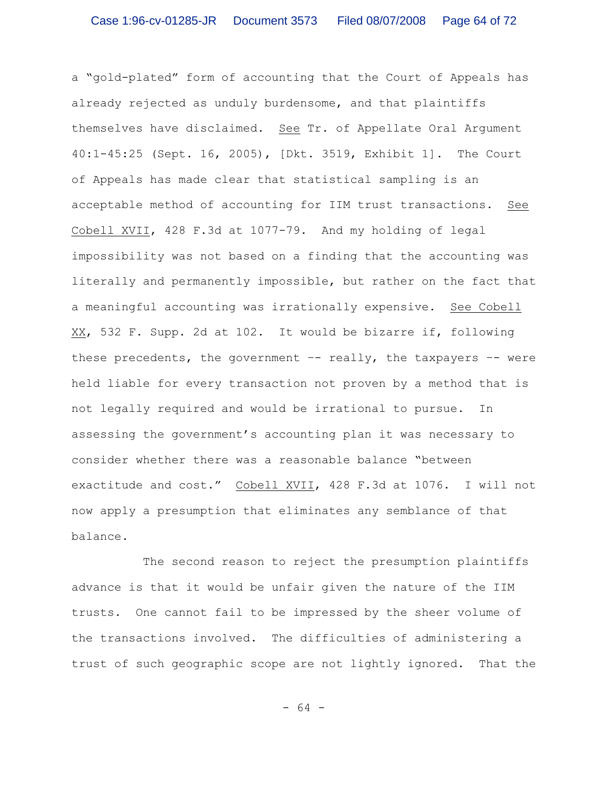a "gold-plated" form of accounting that the Court of Appeals has already rejected as unduly burdensome, and that plaintiffs themselves have disclaimed. See Tr. of Appellate Oral Argument 40:1-45:25 (Sept. 16, 2005), [Dkt. 3519, Exhibit 1]. The Court of Appeals has made clear that statistical sampling is an acceptable method of accounting for IIM trust transactions. See Cobell XVII, 428 F.3d at 1077-79. And my holding of legal impossibility was not based on a finding that the accounting was literally and permanently impossible, but rather on the fact that a meaningful accounting was irrationally expensive. See Cobell XX, 532 F. Supp. 2d at 102. It would be bizarre if, following these precedents, the government  $-$ - really, the taxpayers  $-$ - were held liable for every transaction not proven by a method that is not legally required and would be irrational to pursue. In assessing the government's accounting plan it was necessary to consider whether there was a reasonable balance "between exactitude and cost." Cobell XVII, 428 F.3d at 1076. I will not now apply a presumption that eliminates any semblance of that balance.

The second reason to reject the presumption plaintiffs advance is that it would be unfair given the nature of the IIM trusts. One cannot fail to be impressed by the sheer volume of the transactions involved. The difficulties of administering a trust of such geographic scope are not lightly ignored. That the

- 64 -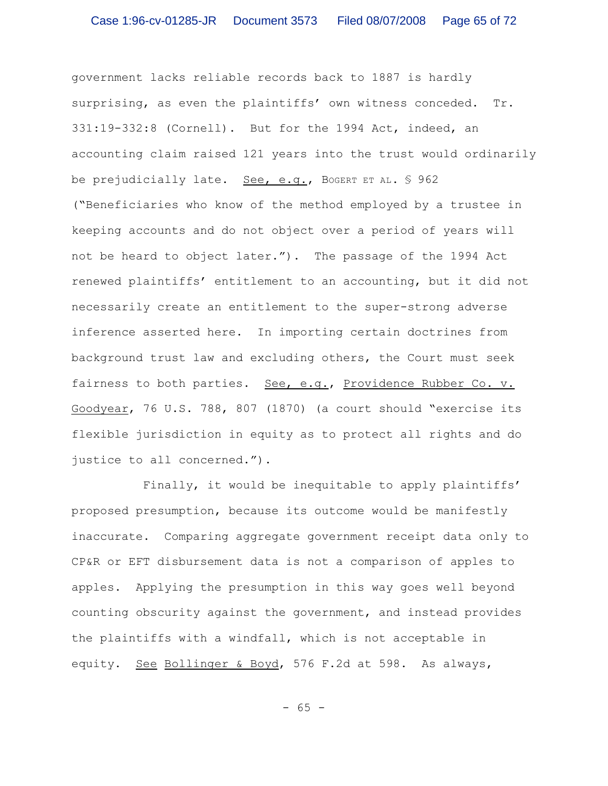government lacks reliable records back to 1887 is hardly surprising, as even the plaintiffs' own witness conceded. Tr. 331:19-332:8 (Cornell). But for the 1994 Act, indeed, an accounting claim raised 121 years into the trust would ordinarily be prejudicially late. See, e.g., BOGERT ET AL. § 962 ("Beneficiaries who know of the method employed by a trustee in keeping accounts and do not object over a period of years will not be heard to object later."). The passage of the 1994 Act renewed plaintiffs' entitlement to an accounting, but it did not necessarily create an entitlement to the super-strong adverse inference asserted here. In importing certain doctrines from background trust law and excluding others, the Court must seek fairness to both parties. See, e.g., Providence Rubber Co. v. Goodyear, 76 U.S. 788, 807 (1870) (a court should "exercise its flexible jurisdiction in equity as to protect all rights and do justice to all concerned.").

Finally, it would be inequitable to apply plaintiffs' proposed presumption, because its outcome would be manifestly inaccurate. Comparing aggregate government receipt data only to CP&R or EFT disbursement data is not a comparison of apples to apples. Applying the presumption in this way goes well beyond counting obscurity against the government, and instead provides the plaintiffs with a windfall, which is not acceptable in equity. See Bollinger & Boyd, 576 F.2d at 598. As always,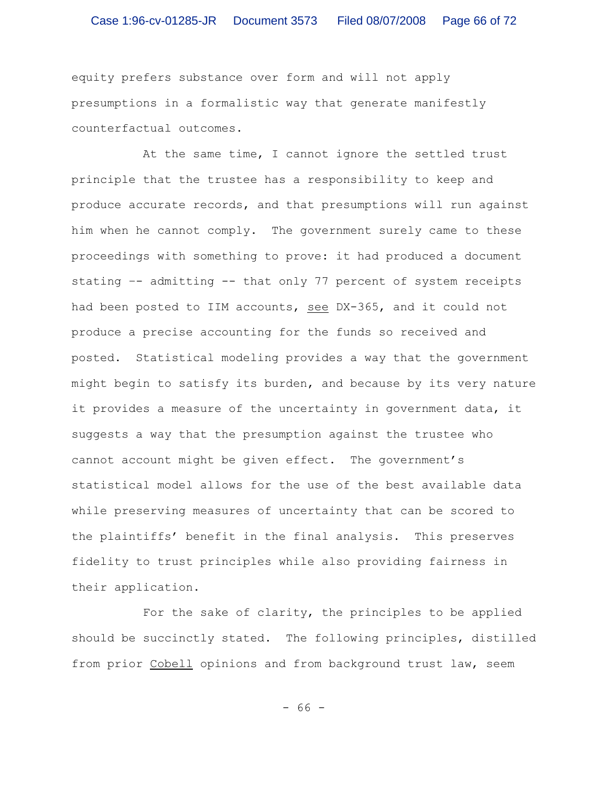equity prefers substance over form and will not apply presumptions in a formalistic way that generate manifestly counterfactual outcomes.

At the same time, I cannot ignore the settled trust principle that the trustee has a responsibility to keep and produce accurate records, and that presumptions will run against him when he cannot comply. The government surely came to these proceedings with something to prove: it had produced a document stating –- admitting -- that only 77 percent of system receipts had been posted to IIM accounts, see DX-365, and it could not produce a precise accounting for the funds so received and posted. Statistical modeling provides a way that the government might begin to satisfy its burden, and because by its very nature it provides a measure of the uncertainty in government data, it suggests a way that the presumption against the trustee who cannot account might be given effect. The government's statistical model allows for the use of the best available data while preserving measures of uncertainty that can be scored to the plaintiffs' benefit in the final analysis. This preserves fidelity to trust principles while also providing fairness in their application.

For the sake of clarity, the principles to be applied should be succinctly stated. The following principles, distilled from prior Cobell opinions and from background trust law, seem

- 66 -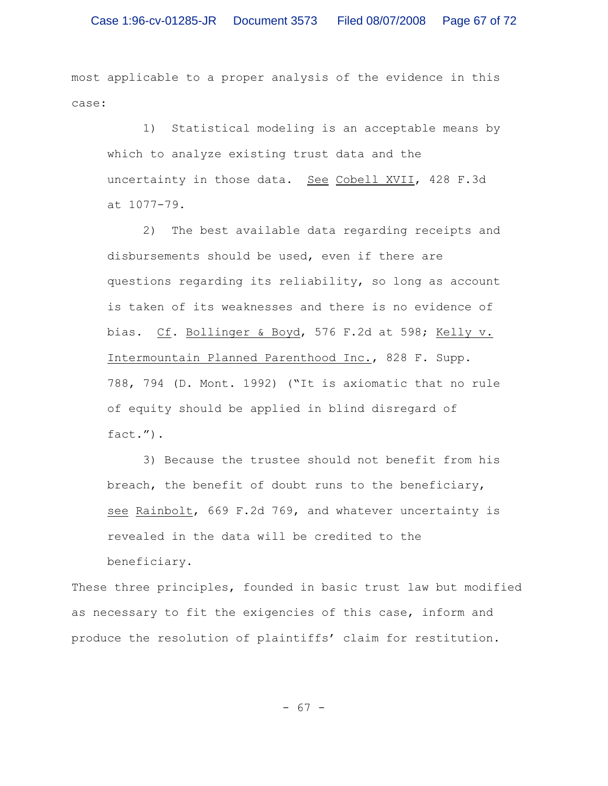most applicable to a proper analysis of the evidence in this case:

1) Statistical modeling is an acceptable means by which to analyze existing trust data and the uncertainty in those data. See Cobell XVII, 428 F.3d at 1077-79.

2) The best available data regarding receipts and disbursements should be used, even if there are questions regarding its reliability, so long as account is taken of its weaknesses and there is no evidence of bias. Cf. Bollinger & Boyd, 576 F.2d at 598; Kelly v. Intermountain Planned Parenthood Inc., 828 F. Supp. 788, 794 (D. Mont. 1992) ("It is axiomatic that no rule of equity should be applied in blind disregard of fact.").

3) Because the trustee should not benefit from his breach, the benefit of doubt runs to the beneficiary, see Rainbolt, 669 F.2d 769, and whatever uncertainty is revealed in the data will be credited to the beneficiary.

These three principles, founded in basic trust law but modified as necessary to fit the exigencies of this case, inform and produce the resolution of plaintiffs' claim for restitution.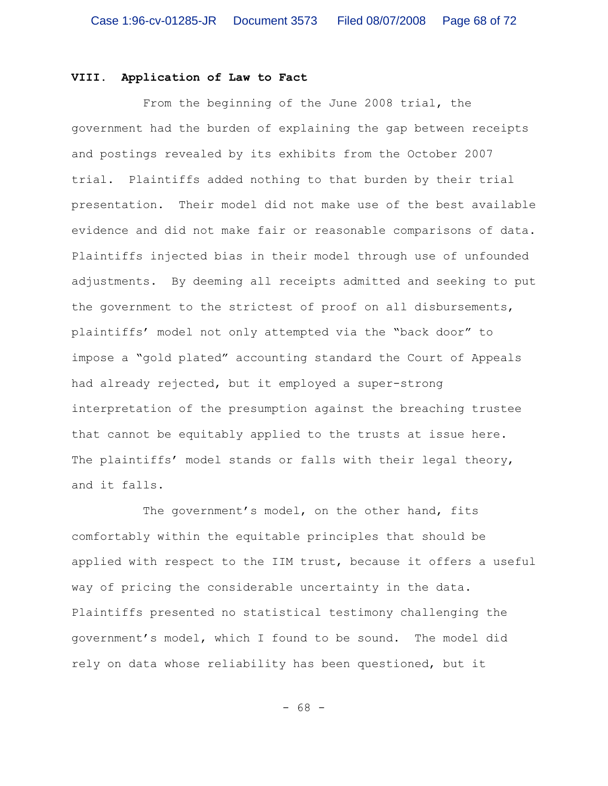## **VIII. Application of Law to Fact**

From the beginning of the June 2008 trial, the government had the burden of explaining the gap between receipts and postings revealed by its exhibits from the October 2007 trial. Plaintiffs added nothing to that burden by their trial presentation. Their model did not make use of the best available evidence and did not make fair or reasonable comparisons of data. Plaintiffs injected bias in their model through use of unfounded adjustments. By deeming all receipts admitted and seeking to put the government to the strictest of proof on all disbursements, plaintiffs' model not only attempted via the "back door" to impose a "gold plated" accounting standard the Court of Appeals had already rejected, but it employed a super-strong interpretation of the presumption against the breaching trustee that cannot be equitably applied to the trusts at issue here. The plaintiffs' model stands or falls with their legal theory, and it falls.

The government's model, on the other hand, fits comfortably within the equitable principles that should be applied with respect to the IIM trust, because it offers a useful way of pricing the considerable uncertainty in the data. Plaintiffs presented no statistical testimony challenging the government's model, which I found to be sound. The model did rely on data whose reliability has been questioned, but it

- 68 -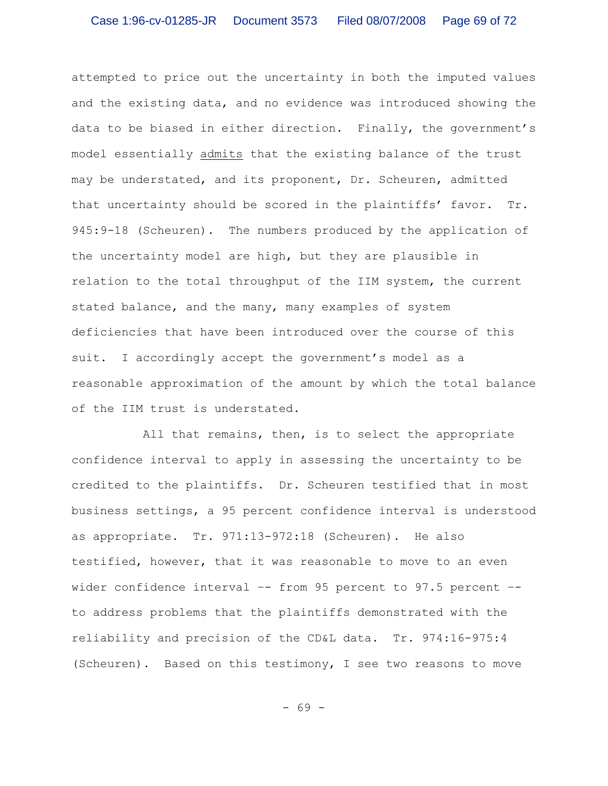attempted to price out the uncertainty in both the imputed values and the existing data, and no evidence was introduced showing the data to be biased in either direction. Finally, the government's model essentially admits that the existing balance of the trust may be understated, and its proponent, Dr. Scheuren, admitted that uncertainty should be scored in the plaintiffs' favor. Tr. 945:9-18 (Scheuren). The numbers produced by the application of the uncertainty model are high, but they are plausible in relation to the total throughput of the IIM system, the current stated balance, and the many, many examples of system deficiencies that have been introduced over the course of this suit. I accordingly accept the government's model as a reasonable approximation of the amount by which the total balance of the IIM trust is understated.

All that remains, then, is to select the appropriate confidence interval to apply in assessing the uncertainty to be credited to the plaintiffs. Dr. Scheuren testified that in most business settings, a 95 percent confidence interval is understood as appropriate. Tr. 971:13-972:18 (Scheuren). He also testified, however, that it was reasonable to move to an even wider confidence interval -- from 95 percent to 97.5 percent -to address problems that the plaintiffs demonstrated with the reliability and precision of the CD&L data. Tr. 974:16-975:4 (Scheuren). Based on this testimony, I see two reasons to move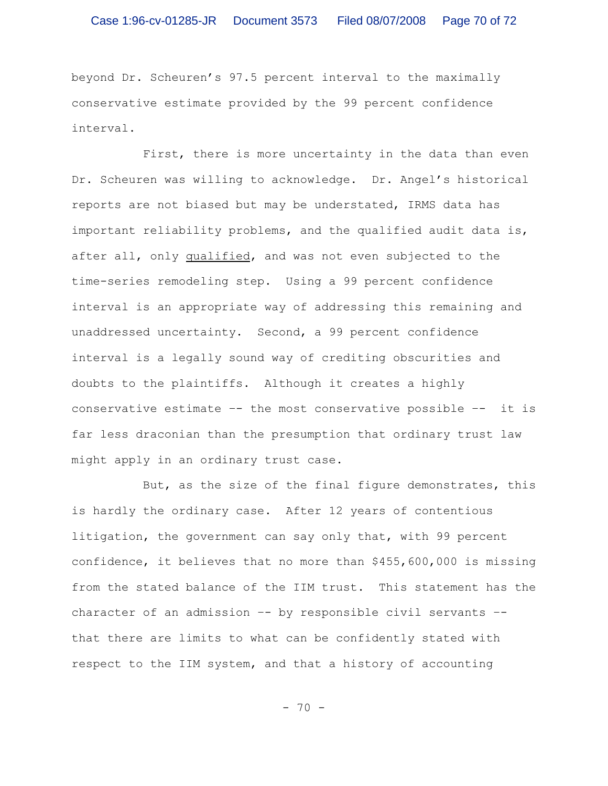beyond Dr. Scheuren's 97.5 percent interval to the maximally conservative estimate provided by the 99 percent confidence interval.

First, there is more uncertainty in the data than even Dr. Scheuren was willing to acknowledge. Dr. Angel's historical reports are not biased but may be understated, IRMS data has important reliability problems, and the qualified audit data is, after all, only qualified, and was not even subjected to the time-series remodeling step. Using a 99 percent confidence interval is an appropriate way of addressing this remaining and unaddressed uncertainty. Second, a 99 percent confidence interval is a legally sound way of crediting obscurities and doubts to the plaintiffs. Although it creates a highly conservative estimate –- the most conservative possible –- it is far less draconian than the presumption that ordinary trust law might apply in an ordinary trust case.

But, as the size of the final figure demonstrates, this is hardly the ordinary case. After 12 years of contentious litigation, the government can say only that, with 99 percent confidence, it believes that no more than \$455,600,000 is missing from the stated balance of the IIM trust. This statement has the character of an admission –- by responsible civil servants – that there are limits to what can be confidently stated with respect to the IIM system, and that a history of accounting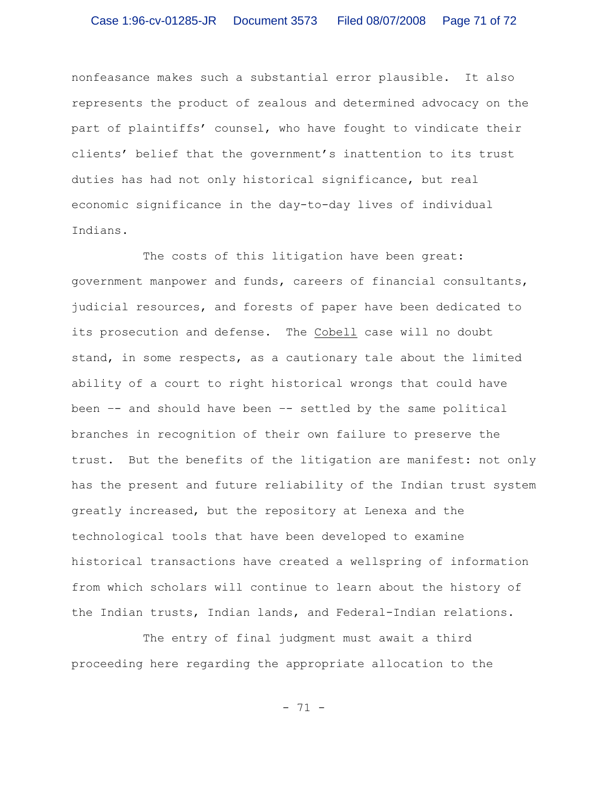nonfeasance makes such a substantial error plausible. It also represents the product of zealous and determined advocacy on the part of plaintiffs' counsel, who have fought to vindicate their clients' belief that the government's inattention to its trust duties has had not only historical significance, but real economic significance in the day-to-day lives of individual Indians.

The costs of this litigation have been great: government manpower and funds, careers of financial consultants, judicial resources, and forests of paper have been dedicated to its prosecution and defense. The Cobell case will no doubt stand, in some respects, as a cautionary tale about the limited ability of a court to right historical wrongs that could have been –- and should have been –- settled by the same political branches in recognition of their own failure to preserve the trust. But the benefits of the litigation are manifest: not only has the present and future reliability of the Indian trust system greatly increased, but the repository at Lenexa and the technological tools that have been developed to examine historical transactions have created a wellspring of information from which scholars will continue to learn about the history of the Indian trusts, Indian lands, and Federal-Indian relations.

The entry of final judgment must await a third proceeding here regarding the appropriate allocation to the

- 71 -